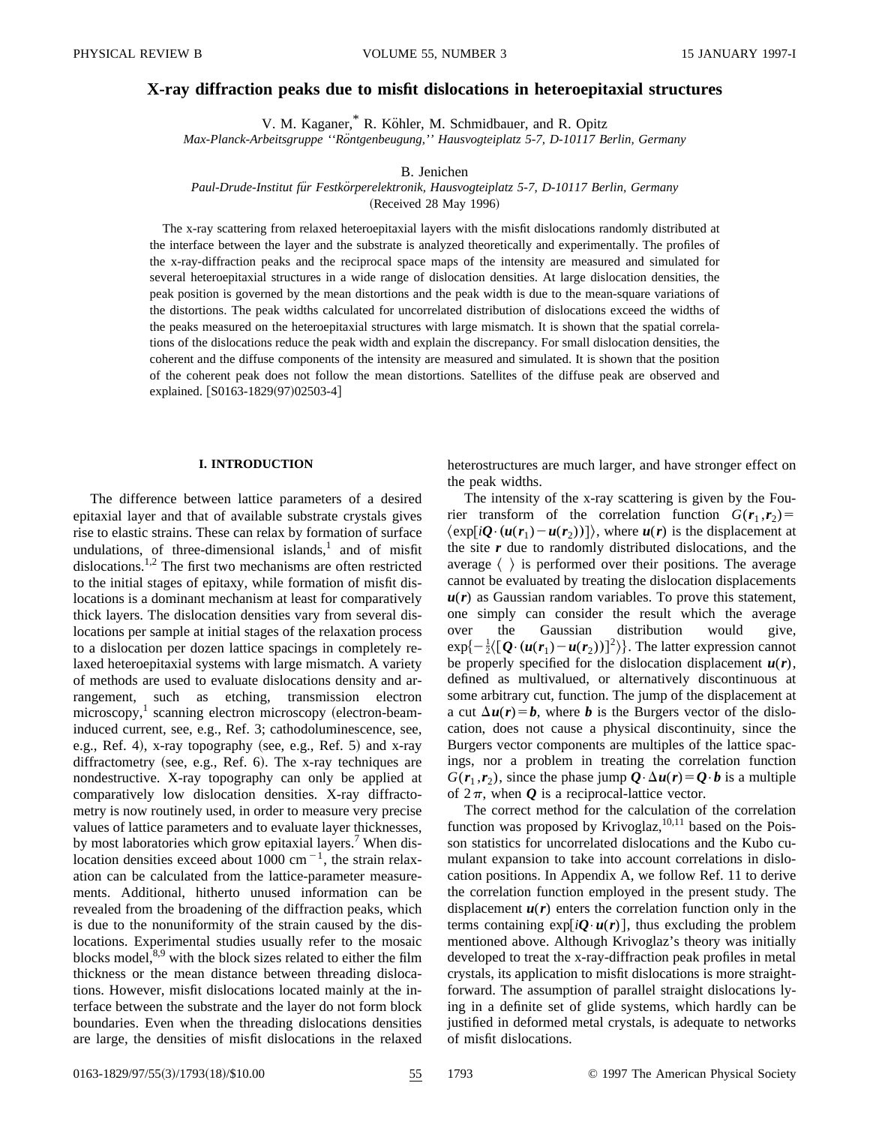# **X-ray diffraction peaks due to misfit dislocations in heteroepitaxial structures**

V. M. Kaganer,<sup>\*</sup> R. Köhler, M. Schmidbauer, and R. Opitz

*Max-Planck-Arbeitsgruppe ''Ro¨ntgenbeugung,'' Hausvogteiplatz 5-7, D-10117 Berlin, Germany*

## B. Jenichen

*Paul-Drude-Institut fu¨r Festko¨rperelektronik, Hausvogteiplatz 5-7, D-10117 Berlin, Germany*

(Received 28 May 1996)

The x-ray scattering from relaxed heteroepitaxial layers with the misfit dislocations randomly distributed at the interface between the layer and the substrate is analyzed theoretically and experimentally. The profiles of the x-ray-diffraction peaks and the reciprocal space maps of the intensity are measured and simulated for several heteroepitaxial structures in a wide range of dislocation densities. At large dislocation densities, the peak position is governed by the mean distortions and the peak width is due to the mean-square variations of the distortions. The peak widths calculated for uncorrelated distribution of dislocations exceed the widths of the peaks measured on the heteroepitaxial structures with large mismatch. It is shown that the spatial correlations of the dislocations reduce the peak width and explain the discrepancy. For small dislocation densities, the coherent and the diffuse components of the intensity are measured and simulated. It is shown that the position of the coherent peak does not follow the mean distortions. Satellites of the diffuse peak are observed and explained. [S0163-1829(97)02503-4]

### **I. INTRODUCTION**

The difference between lattice parameters of a desired epitaxial layer and that of available substrate crystals gives rise to elastic strains. These can relax by formation of surface undulations, of three-dimensional islands, $<sup>1</sup>$  and of misfit</sup> dislocations.<sup>1,2</sup> The first two mechanisms are often restricted to the initial stages of epitaxy, while formation of misfit dislocations is a dominant mechanism at least for comparatively thick layers. The dislocation densities vary from several dislocations per sample at initial stages of the relaxation process to a dislocation per dozen lattice spacings in completely relaxed heteroepitaxial systems with large mismatch. A variety of methods are used to evaluate dislocations density and arrangement, such as etching, transmission electron microscopy,<sup>1</sup> scanning electron microscopy (electron-beaminduced current, see, e.g., Ref. 3; cathodoluminescence, see, e.g., Ref. 4), x-ray topography (see, e.g., Ref. 5) and x-ray diffractometry (see, e.g., Ref.  $6$ ). The x-ray techniques are nondestructive. X-ray topography can only be applied at comparatively low dislocation densities. X-ray diffractometry is now routinely used, in order to measure very precise values of lattice parameters and to evaluate layer thicknesses, by most laboratories which grow epitaxial layers.<sup>7</sup> When dislocation densities exceed about 1000 cm $^{-1}$ , the strain relaxation can be calculated from the lattice-parameter measurements. Additional, hitherto unused information can be revealed from the broadening of the diffraction peaks, which is due to the nonuniformity of the strain caused by the dislocations. Experimental studies usually refer to the mosaic blocks model, ${}^{8,9}$  with the block sizes related to either the film thickness or the mean distance between threading dislocations. However, misfit dislocations located mainly at the interface between the substrate and the layer do not form block boundaries. Even when the threading dislocations densities are large, the densities of misfit dislocations in the relaxed heterostructures are much larger, and have stronger effect on the peak widths.

The intensity of the x-ray scattering is given by the Fourier transform of the correlation function  $G(r_1, r_2)$ =  $\langle \exp[iQ \cdot (u(r_1)-u(r_2))] \rangle$ , where  $u(r)$  is the displacement at the site *r* due to randomly distributed dislocations, and the average  $\langle \rangle$  is performed over their positions. The average cannot be evaluated by treating the dislocation displacements  $u(r)$  as Gaussian random variables. To prove this statement, one simply can consider the result which the average over the Gaussian distribution would give,  $exp{-\frac{1}{2}\langle[\mathbf{Q}\cdot(\mathbf{u}(\mathbf{r}_1)-\mathbf{u}(\mathbf{r}_2))]^2\rangle\}}$ . The latter expression cannot be properly specified for the dislocation displacement  $u(r)$ , defined as multivalued, or alternatively discontinuous at some arbitrary cut, function. The jump of the displacement at a cut  $\Delta u(r) = b$ , where *b* is the Burgers vector of the dislocation, does not cause a physical discontinuity, since the Burgers vector components are multiples of the lattice spacings, nor a problem in treating the correlation function  $G(r_1, r_2)$ , since the phase jump  $Q \cdot \Delta u(r) = Q \cdot b$  is a multiple of  $2\pi$ , when *Q* is a reciprocal-lattice vector.

The correct method for the calculation of the correlation function was proposed by Krivoglaz,  $^{10,11}$  based on the Poisson statistics for uncorrelated dislocations and the Kubo cumulant expansion to take into account correlations in dislocation positions. In Appendix A, we follow Ref. 11 to derive the correlation function employed in the present study. The displacement  $u(r)$  enters the correlation function only in the terms containing  $exp[iQ \cdot u(r)]$ , thus excluding the problem mentioned above. Although Krivoglaz's theory was initially developed to treat the x-ray-diffraction peak profiles in metal crystals, its application to misfit dislocations is more straightforward. The assumption of parallel straight dislocations lying in a definite set of glide systems, which hardly can be justified in deformed metal crystals, is adequate to networks of misfit dislocations.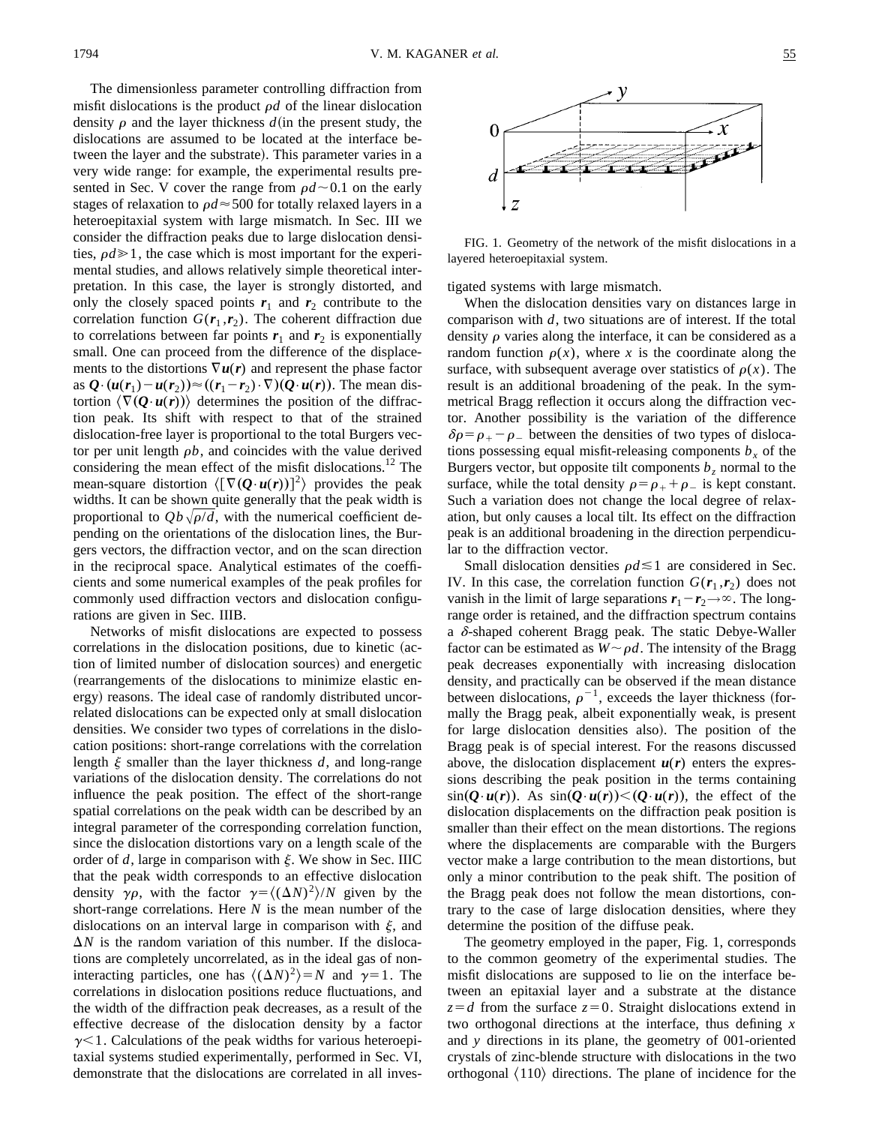The dimensionless parameter controlling diffraction from misfit dislocations is the product  $\rho d$  of the linear dislocation density  $\rho$  and the layer thickness  $d$ (in the present study, the dislocations are assumed to be located at the interface between the layer and the substrate). This parameter varies in a very wide range: for example, the experimental results presented in Sec. V cover the range from  $\rho d \sim 0.1$  on the early stages of relaxation to  $\rho d \approx 500$  for totally relaxed layers in a heteroepitaxial system with large mismatch. In Sec. III we consider the diffraction peaks due to large dislocation densities,  $\rho d \ge 1$ , the case which is most important for the experimental studies, and allows relatively simple theoretical interpretation. In this case, the layer is strongly distorted, and only the closely spaced points  $r_1$  and  $r_2$  contribute to the correlation function  $G(r_1, r_2)$ . The coherent diffraction due to correlations between far points  $r_1$  and  $r_2$  is exponentially small. One can proceed from the difference of the displacements to the distortions  $\nabla$ *u*(*r*) and represent the phase factor as  $Q \cdot (u(r_1) - u(r_2)) \approx ((r_1 - r_2) \cdot \nabla) (Q \cdot u(r))$ . The mean distortion  $\langle \nabla (\mathbf{Q} \cdot \mathbf{u}(\mathbf{r})) \rangle$  determines the position of the diffraction peak. Its shift with respect to that of the strained dislocation-free layer is proportional to the total Burgers vector per unit length  $\rho b$ , and coincides with the value derived considering the mean effect of the misfit dislocations.<sup>12</sup> The mean-square distortion  $\langle [\nabla (Q \cdot u(r))]^2 \rangle$  provides the peak widths. It can be shown quite generally that the peak width is proportional to  $Qb\sqrt{\rho}/d$ , with the numerical coefficient depending on the orientations of the dislocation lines, the Burgers vectors, the diffraction vector, and on the scan direction in the reciprocal space. Analytical estimates of the coefficients and some numerical examples of the peak profiles for commonly used diffraction vectors and dislocation configurations are given in Sec. IIIB.

Networks of misfit dislocations are expected to possess  $correlations$  in the dislocation positions, due to kinetic  $(ac$ tion of limited number of dislocation sources) and energetic (rearrangements of the dislocations to minimize elastic energy) reasons. The ideal case of randomly distributed uncorrelated dislocations can be expected only at small dislocation densities. We consider two types of correlations in the dislocation positions: short-range correlations with the correlation length  $\xi$  smaller than the layer thickness  $d$ , and long-range variations of the dislocation density. The correlations do not influence the peak position. The effect of the short-range spatial correlations on the peak width can be described by an integral parameter of the corresponding correlation function, since the dislocation distortions vary on a length scale of the order of  $d$ , large in comparison with  $\xi$ . We show in Sec. IIIC that the peak width corresponds to an effective dislocation density  $\gamma \rho$ , with the factor  $\gamma = \langle (\Delta N)^2 \rangle/N$  given by the short-range correlations. Here *N* is the mean number of the dislocations on an interval large in comparison with  $\xi$ , and  $\Delta N$  is the random variation of this number. If the dislocations are completely uncorrelated, as in the ideal gas of noninteracting particles, one has  $\langle (\Delta N)^2 \rangle = N$  and  $\gamma = 1$ . The correlations in dislocation positions reduce fluctuations, and the width of the diffraction peak decreases, as a result of the effective decrease of the dislocation density by a factor  $\gamma$ <1. Calculations of the peak widths for various heteroepitaxial systems studied experimentally, performed in Sec. VI, demonstrate that the dislocations are correlated in all inves-



FIG. 1. Geometry of the network of the misfit dislocations in a layered heteroepitaxial system.

tigated systems with large mismatch.

When the dislocation densities vary on distances large in comparison with *d*, two situations are of interest. If the total density  $\rho$  varies along the interface, it can be considered as a random function  $\rho(x)$ , where *x* is the coordinate along the surface, with subsequent average over statistics of  $\rho(x)$ . The result is an additional broadening of the peak. In the symmetrical Bragg reflection it occurs along the diffraction vector. Another possibility is the variation of the difference  $\delta \rho = \rho_+ - \rho_-$  between the densities of two types of dislocations possessing equal misfit-releasing components  $b_x$  of the Burgers vector, but opposite tilt components  $b<sub>z</sub>$  normal to the surface, while the total density  $\rho = \rho_+ + \rho_-$  is kept constant. Such a variation does not change the local degree of relaxation, but only causes a local tilt. Its effect on the diffraction peak is an additional broadening in the direction perpendicular to the diffraction vector.

Small dislocation densities  $\rho d \leq 1$  are considered in Sec. IV. In this case, the correlation function  $G(r_1, r_2)$  does not vanish in the limit of large separations  $r_1 - r_2 \rightarrow \infty$ . The longrange order is retained, and the diffraction spectrum contains a  $\delta$ -shaped coherent Bragg peak. The static Debye-Waller factor can be estimated as  $W \sim \rho d$ . The intensity of the Bragg peak decreases exponentially with increasing dislocation density, and practically can be observed if the mean distance between dislocations,  $\rho^{-1}$ , exceeds the layer thickness (formally the Bragg peak, albeit exponentially weak, is present for large dislocation densities also). The position of the Bragg peak is of special interest. For the reasons discussed above, the dislocation displacement  $u(r)$  enters the expressions describing the peak position in the terms containing  $\sin(Q \cdot u(r))$ . As  $\sin(Q \cdot u(r)) < (Q \cdot u(r))$ , the effect of the dislocation displacements on the diffraction peak position is smaller than their effect on the mean distortions. The regions where the displacements are comparable with the Burgers vector make a large contribution to the mean distortions, but only a minor contribution to the peak shift. The position of the Bragg peak does not follow the mean distortions, contrary to the case of large dislocation densities, where they determine the position of the diffuse peak.

The geometry employed in the paper, Fig. 1, corresponds to the common geometry of the experimental studies. The misfit dislocations are supposed to lie on the interface between an epitaxial layer and a substrate at the distance  $z = d$  from the surface  $z = 0$ . Straight dislocations extend in two orthogonal directions at the interface, thus defining *x* and *y* directions in its plane, the geometry of 001-oriented crystals of zinc-blende structure with dislocations in the two orthogonal  $\langle 110 \rangle$  directions. The plane of incidence for the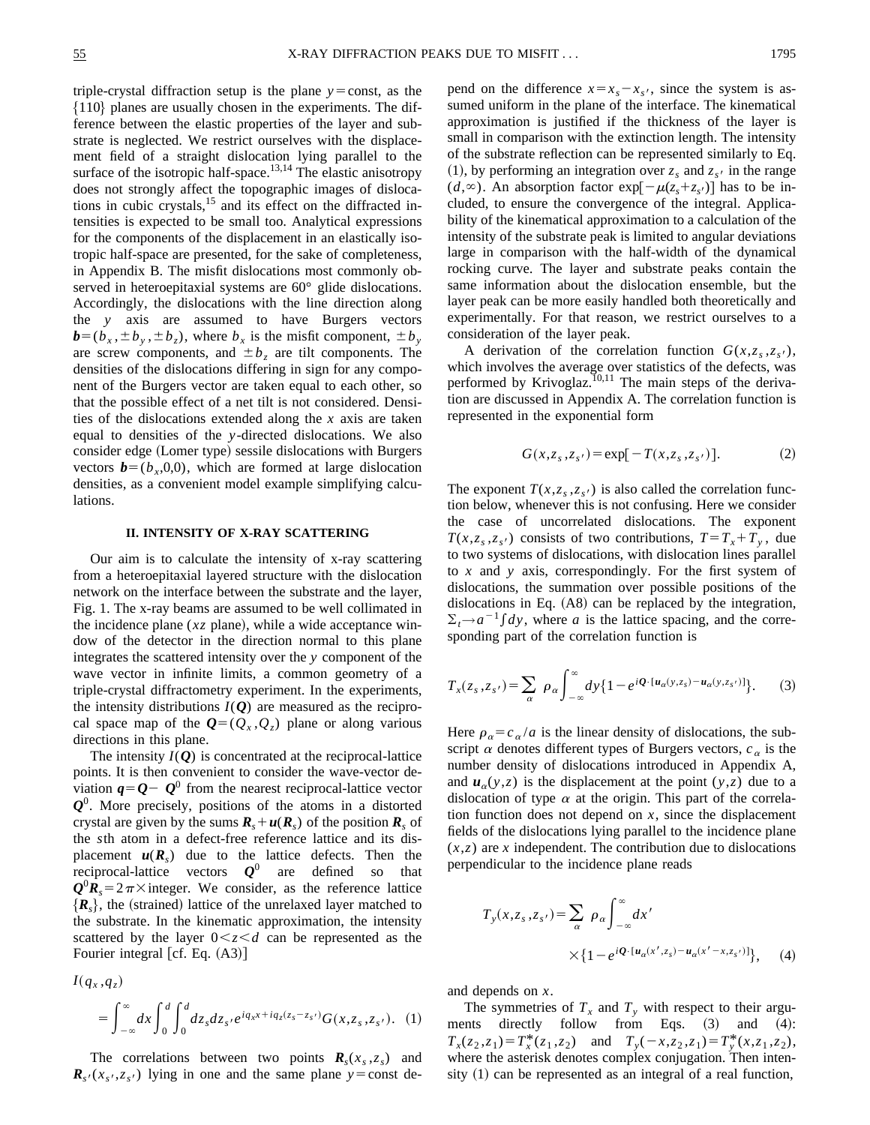triple-crystal diffraction setup is the plane  $y = const$ , as the  ${110}$  planes are usually chosen in the experiments. The difference between the elastic properties of the layer and substrate is neglected. We restrict ourselves with the displacement field of a straight dislocation lying parallel to the surface of the isotropic half-space. $13,14$  The elastic anisotropy does not strongly affect the topographic images of dislocations in cubic crystals,  $^{15}$  and its effect on the diffracted intensities is expected to be small too. Analytical expressions for the components of the displacement in an elastically isotropic half-space are presented, for the sake of completeness, in Appendix B. The misfit dislocations most commonly observed in heteroepitaxial systems are 60° glide dislocations. Accordingly, the dislocations with the line direction along the *y* axis are assumed to have Burgers vectors  $\boldsymbol{b}=(b_x,\pm b_y,\pm b_z)$ , where  $b_x$  is the misfit component,  $\pm b_y$ are screw components, and  $\pm b$ <sub>z</sub> are tilt components. The densities of the dislocations differing in sign for any component of the Burgers vector are taken equal to each other, so that the possible effect of a net tilt is not considered. Densities of the dislocations extended along the *x* axis are taken equal to densities of the *y*-directed dislocations. We also consider edge (Lomer type) sessile dislocations with Burgers vectors  $\mathbf{b}=(b_x,0,0)$ , which are formed at large dislocation densities, as a convenient model example simplifying calculations.

## **II. INTENSITY OF X-RAY SCATTERING**

Our aim is to calculate the intensity of x-ray scattering from a heteroepitaxial layered structure with the dislocation network on the interface between the substrate and the layer, Fig. 1. The x-ray beams are assumed to be well collimated in the incidence plane  $(xz)$  plane), while a wide acceptance window of the detector in the direction normal to this plane integrates the scattered intensity over the *y* component of the wave vector in infinite limits, a common geometry of a triple-crystal diffractometry experiment. In the experiments, the intensity distributions  $I(Q)$  are measured as the reciprocal space map of the  $Q=(Q_x, Q_z)$  plane or along various directions in this plane.

The intensity  $I(Q)$  is concentrated at the reciprocal-lattice points. It is then convenient to consider the wave-vector deviation  $q = Q - Q^0$  from the nearest reciprocal-lattice vector  $Q^0$ . More precisely, positions of the atoms in a distorted crystal are given by the sums  $\mathbf{R}_s + \mathbf{u}(\mathbf{R}_s)$  of the position  $\mathbf{R}_s$  of the *s*th atom in a defect-free reference lattice and its displacement  $u(R_s)$  due to the lattice defects. Then the reciprocal-lattice vectors  $Q^0$  are defined so that  $Q^{0}R_{s}=2\pi\times$  integer. We consider, as the reference lattice  ${R_s}$ , the (strained) lattice of the unrelaxed layer matched to the substrate. In the kinematic approximation, the intensity scattered by the layer  $0 \lt z \lt d$  can be represented as the Fourier integral  $\lfloor cf. \text{ Eq. (A3)} \rfloor$ 

$$
I(q_x, q_z)
$$
  
= 
$$
\int_{-\infty}^{\infty} dx \int_0^d \int_0^d dz_s dz_{s'} e^{iq_x x + iq_z(z_s - z_{s'})} G(x, z_s, z_{s'}).
$$
 (1)

The correlations between two points  $\mathbf{R}_s(x_s, z_s)$  and  $\mathbf{R}_{s'}(x_{s'}, z_{s'})$  lying in one and the same plane  $y = const$  de-

pend on the difference  $x = x_s - x_{s}$ , since the system is assumed uniform in the plane of the interface. The kinematical approximation is justified if the thickness of the layer is small in comparison with the extinction length. The intensity of the substrate reflection can be represented similarly to Eq.  $(1)$ , by performing an integration over  $z_s$  and  $z_{s'}$  in the range  $(d, \infty)$ . An absorption factor  $exp[-\mu(z_s+z_{s'})]$  has to be included, to ensure the convergence of the integral. Applicability of the kinematical approximation to a calculation of the intensity of the substrate peak is limited to angular deviations large in comparison with the half-width of the dynamical rocking curve. The layer and substrate peaks contain the same information about the dislocation ensemble, but the layer peak can be more easily handled both theoretically and experimentally. For that reason, we restrict ourselves to a consideration of the layer peak.

A derivation of the correlation function  $G(x, z_s, z_{s})$ , which involves the average over statistics of the defects, was performed by Krivoglaz.<sup>10,11</sup> The main steps of the derivation are discussed in Appendix A. The correlation function is represented in the exponential form

$$
G(x, zs, zs') = \exp[-T(x, zs, zs')].
$$
 (2)

The exponent  $T(x, z_s, z_{s})$  is also called the correlation function below, whenever this is not confusing. Here we consider the case of uncorrelated dislocations. The exponent  $T(x, z_s, z_s)$  consists of two contributions,  $T = T_x + T_y$ , due to two systems of dislocations, with dislocation lines parallel to *x* and *y* axis, correspondingly. For the first system of dislocations, the summation over possible positions of the dislocations in Eq.  $(A8)$  can be replaced by the integration,  $\sum_{t\to a}^{-1} f dy$ , where *a* is the lattice spacing, and the corresponding part of the correlation function is

$$
T_x(z_s, z_{s'}) = \sum_{\alpha} \rho_{\alpha} \int_{-\infty}^{\infty} dy \{1 - e^{i\mathcal{Q} \cdot [u_{\alpha}(y, z_s) - u_{\alpha}(y, z_{s'})]}\}.
$$
 (3)

Here  $\rho_{\alpha} = c_{\alpha}/a$  is the linear density of dislocations, the subscript  $\alpha$  denotes different types of Burgers vectors,  $c_{\alpha}$  is the number density of dislocations introduced in Appendix A, and  $u_{\alpha}(y, z)$  is the displacement at the point  $(y, z)$  due to a dislocation of type  $\alpha$  at the origin. This part of the correlation function does not depend on *x*, since the displacement fields of the dislocations lying parallel to the incidence plane  $(x, z)$  are *x* independent. The contribution due to dislocations perpendicular to the incidence plane reads

$$
T_{y}(x, z_s, z_{s'}) = \sum_{\alpha} \rho_{\alpha} \int_{-\infty}^{\infty} dx'
$$
  
 
$$
\times \{1 - e^{iQ \cdot [u_{\alpha}(x', z_s) - u_{\alpha}(x' - x, z_{s'})]}\}, \quad (4)
$$

and depends on *x*.

The symmetries of  $T_x$  and  $T_y$  with respect to their arguments directly follow from Eqs.  $(3)$  and  $(4)$ :  $T_x(z_2, z_1) = T_x^*(z_1, z_2)$  and  $T_y(-x, z_2, z_1) = T_y^*(x, z_1, z_2)$ , where the asterisk denotes complex conjugation. Then intensity  $(1)$  can be represented as an integral of a real function,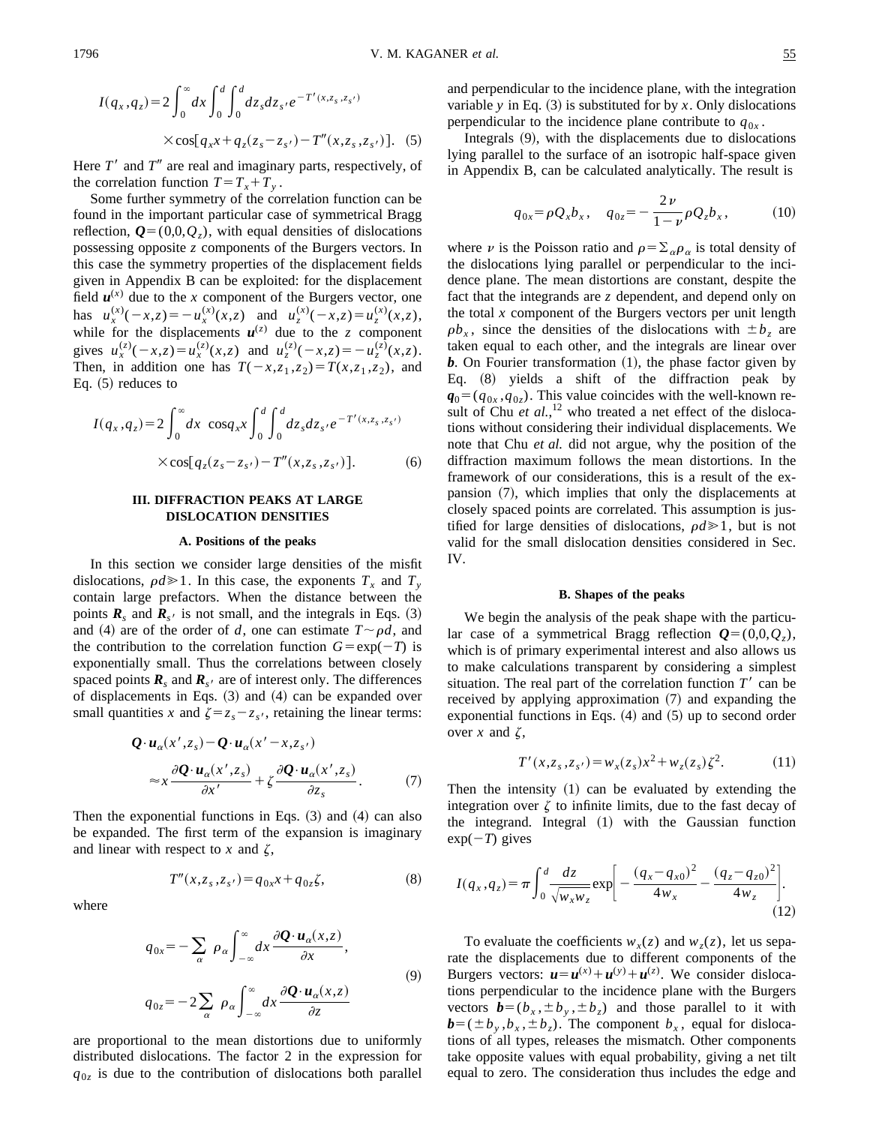$$
I(q_x, q_z) = 2 \int_0^\infty dx \int_0^d \int_0^d dz_s dz_s e^{-T'(x, z_s, z_{s'})}
$$
  
× cos[ $q_x x + q_z (z_s - z_{s'}) - T''(x, z_s, z_{s'})$ ]. (5)

Here  $T'$  and  $T''$  are real and imaginary parts, respectively, of the correlation function  $T = T_r + T_v$ .

Some further symmetry of the correlation function can be found in the important particular case of symmetrical Bragg reflection,  $Q=(0,0,Q_z)$ , with equal densities of dislocations possessing opposite *z* components of the Burgers vectors. In this case the symmetry properties of the displacement fields given in Appendix B can be exploited: for the displacement field  $u^{(x)}$  due to the *x* component of the Burgers vector, one has  $u_x^{(x)}(-x, z) = -u_x^{(x)}(x, z)$  and  $u_z^{(x)}(-x, z) = u_z^{(x)}(x, z)$ , while for the displacements  $u^{(z)}$  due to the *z* component gives  $u_x^{(z)}(-x,z) = u_x^{(z)}(x,z)$  and  $u_z^{(z)}(-x,z) = -u_z^{(z)}(x,z)$ . Then, in addition one has  $T(-x, z_1, z_2) = T(x, z_1, z_2)$ , and Eq.  $(5)$  reduces to

$$
I(q_x, q_z) = 2 \int_0^\infty dx \cos q_x x \int_0^d \int_0^d dz_s dz_{s'} e^{-T'(x, z_s, z_{s'})}
$$
  
 
$$
\times \cos[q_z(z_s - z_{s'}) - T''(x, z_s, z_{s'})].
$$
 (6)

## **III. DIFFRACTION PEAKS AT LARGE DISLOCATION DENSITIES**

## **A. Positions of the peaks**

In this section we consider large densities of the misfit dislocations,  $\rho d \ge 1$ . In this case, the exponents  $T_x$  and  $T_y$ contain large prefactors. When the distance between the points  $\mathbf{R}_s$  and  $\mathbf{R}_{s'}$  is not small, and the integrals in Eqs. (3) and (4) are of the order of *d*, one can estimate  $T \sim \rho d$ , and the contribution to the correlation function  $G = \exp(-T)$  is exponentially small. Thus the correlations between closely spaced points  $\mathbf{R}_s$  and  $\mathbf{R}_s$  are of interest only. The differences of displacements in Eqs.  $(3)$  and  $(4)$  can be expanded over small quantities *x* and  $\zeta = z_s - z_{s'}$ , retaining the linear terms:

$$
Q \cdot u_{\alpha}(x', z_s) - Q \cdot u_{\alpha}(x' - x, z_{s'})
$$
  

$$
\approx x \frac{\partial Q \cdot u_{\alpha}(x', z_s)}{\partial x'} + \zeta \frac{\partial Q \cdot u_{\alpha}(x', z_s)}{\partial z_s}.
$$
 (7)

Then the exponential functions in Eqs.  $(3)$  and  $(4)$  can also be expanded. The first term of the expansion is imaginary and linear with respect to  $x$  and  $\zeta$ ,

 $T''(x, z_s, z_{s'}) = q_{0x}x + q_{0z}\zeta,$  (8)

where

$$
q_{0x} = -\sum_{\alpha} \rho_{\alpha} \int_{-\infty}^{\infty} dx \frac{\partial \mathcal{Q} \cdot u_{\alpha}(x, z)}{\partial x},
$$
  

$$
q_{0z} = -2 \sum_{\alpha} \rho_{\alpha} \int_{-\infty}^{\infty} dx \frac{\partial \mathcal{Q} \cdot u_{\alpha}(x, z)}{\partial z}
$$
 (9)

are proportional to the mean distortions due to uniformly distributed dislocations. The factor 2 in the expression for  $q_{0z}$  is due to the contribution of dislocations both parallel and perpendicular to the incidence plane, with the integration variable *y* in Eq.  $(3)$  is substituted for by *x*. Only dislocations perpendicular to the incidence plane contribute to  $q_{0x}$ .

Integrals  $(9)$ , with the displacements due to dislocations lying parallel to the surface of an isotropic half-space given in Appendix B, can be calculated analytically. The result is

$$
q_{0x} = \rho Q_x b_x, \quad q_{0z} = -\frac{2\nu}{1-\nu} \rho Q_z b_x, \quad (10)
$$

where  $\nu$  is the Poisson ratio and  $\rho = \sum_{\alpha} \rho_{\alpha}$  is total density of the dislocations lying parallel or perpendicular to the incidence plane. The mean distortions are constant, despite the fact that the integrands are *z* dependent, and depend only on the total *x* component of the Burgers vectors per unit length  $\rho b_x$ , since the densities of the dislocations with  $\pm b_z$  are taken equal to each other, and the integrals are linear over *b*. On Fourier transformation  $(1)$ , the phase factor given by Eq.  $(8)$  yields a shift of the diffraction peak by  $q_0 = (q_{0x}, q_{0z})$ . This value coincides with the well-known result of Chu *et al.*,<sup>12</sup> who treated a net effect of the dislocations without considering their individual displacements. We note that Chu *et al.* did not argue, why the position of the diffraction maximum follows the mean distortions. In the framework of our considerations, this is a result of the expansion  $(7)$ , which implies that only the displacements at closely spaced points are correlated. This assumption is justified for large densities of dislocations,  $\rho d \ge 1$ , but is not valid for the small dislocation densities considered in Sec. IV.

### **B. Shapes of the peaks**

We begin the analysis of the peak shape with the particular case of a symmetrical Bragg reflection  $Q=(0,0,Q_z)$ , which is of primary experimental interest and also allows us to make calculations transparent by considering a simplest situation. The real part of the correlation function  $T<sup>6</sup>$  can be received by applying approximation  $(7)$  and expanding the exponential functions in Eqs.  $(4)$  and  $(5)$  up to second order over  $x$  and  $\zeta$ ,

$$
T'(x, z_s, z_{s'}) = w_x(z_s)x^2 + w_z(z_s)\zeta^2.
$$
 (11)

Then the intensity  $(1)$  can be evaluated by extending the integration over  $\zeta$  to infinite limits, due to the fast decay of the integrand. Integral  $(1)$  with the Gaussian function  $exp(-T)$  gives

$$
I(q_x, q_z) = \pi \int_0^d \frac{dz}{\sqrt{w_x w_z}} \exp\bigg[ -\frac{(q_x - q_{x0})^2}{4w_x} - \frac{(q_z - q_{z0})^2}{4w_z} \bigg].
$$
\n(12)

To evaluate the coefficients  $w_r(z)$  and  $w_z(z)$ , let us separate the displacements due to different components of the Burgers vectors:  $u = u^{(x)} + u^{(y)} + u^{(z)}$ . We consider dislocations perpendicular to the incidence plane with the Burgers vectors  $\mathbf{b}=(b_x,\pm b_y,\pm b_z)$  and those parallel to it with **. The component**  $b_x$ **, equal for disloca**tions of all types, releases the mismatch. Other components take opposite values with equal probability, giving a net tilt equal to zero. The consideration thus includes the edge and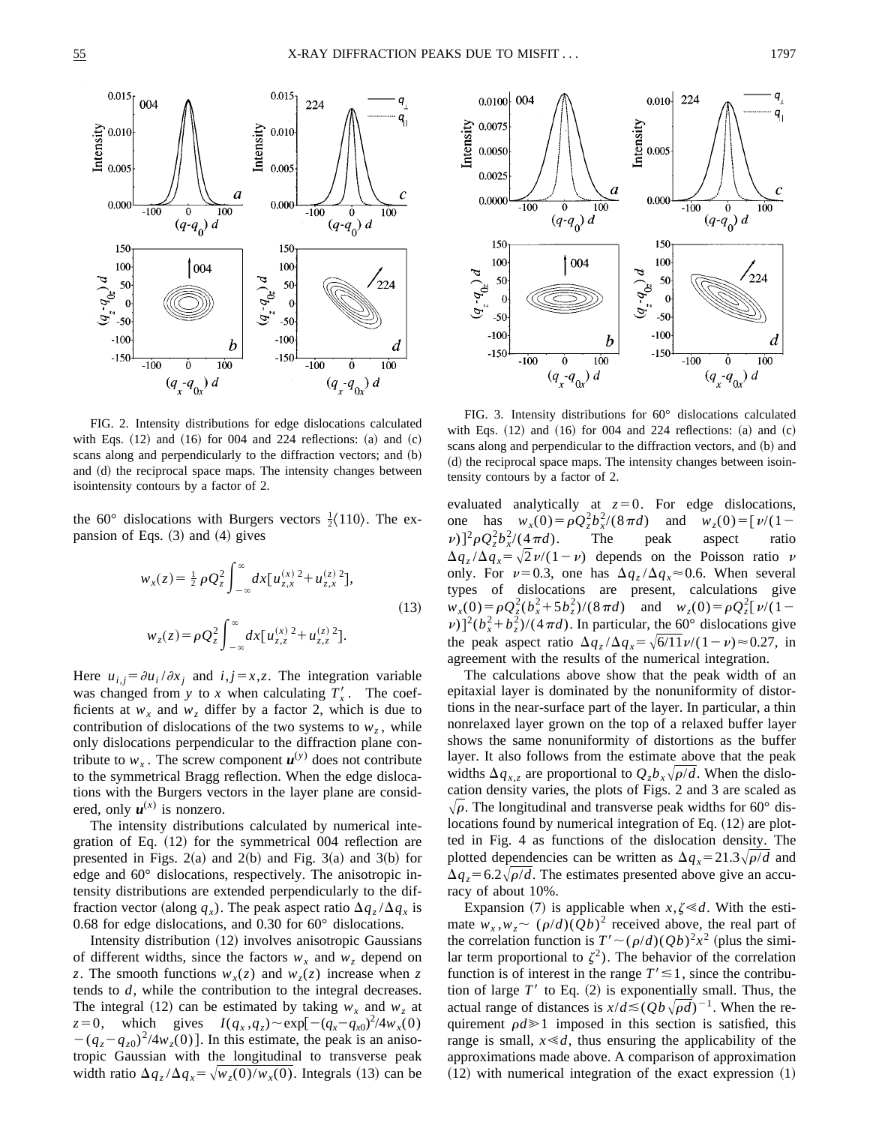0.015

0.005

 $0.000$ 

150

100

50

 $\mathbf 0$ 

 $-50$ 

 $-100$ 

 $-150$ 

 $p\binom{20}{b-1}$ 

Intensity 0.010 004

 $-100$ 

 $-100$ 

 $\Omega$ 

 $\overline{0}$ 

 $(q-q_0) d$ 

 $\left[004\right]$ 

 $q_{\perp}$ 

 $q_{\parallel}$ 

 $\mathcal{C}_{0}^{(1)}$ 

 $\overline{100}$ 

 $\frac{1}{224}$ 

d

 $100$ 



b

100

 $0.015$ 

0.010

0.005

 $0.000$ 

150

100

50

 $\mathbf 0$ 

 $-50$ 

 $-100$ 

 $-150$ 

 $\left( \begin{smallmatrix} q & q \ 0 & q \end{smallmatrix} \right)$ 

Intensity

 $\overline{a}$ 

 $\overline{100}$ 

224

 $-100$ 

 $-100$ 

 $\mathbf 0$ 

 $(q - q_0) d$ 

ó

the 60° dislocations with Burgers vectors  $\frac{1}{2}$ (110). The expansion of Eqs.  $(3)$  and  $(4)$  gives

$$
w_x(z) = \frac{1}{2} \rho Q_z^2 \int_{-\infty}^{\infty} dx \left[ u_{z,x}^{(x)}{}^2 + u_{z,x}^{(z)}{}^2 \right],
$$
  
\n
$$
w_z(z) = \rho Q_z^2 \int_{-\infty}^{\infty} dx \left[ u_{z,z}^{(x)}{}^2 + u_{z,z}^{(z)}{}^2 \right].
$$
\n(13)

Here  $u_{i,j} = \partial u_i / \partial x_j$  and  $i, j = x, z$ . The integration variable was changed from *y* to *x* when calculating  $T'_x$ . The coefficients at  $w_x$  and  $w_z$  differ by a factor 2, which is due to contribution of dislocations of the two systems to  $w_z$ , while only dislocations perpendicular to the diffraction plane contribute to  $w_r$ . The screw component  $u^{(y)}$  does not contribute to the symmetrical Bragg reflection. When the edge dislocations with the Burgers vectors in the layer plane are considered, only  $u^{(x)}$  is nonzero.

The intensity distributions calculated by numerical integration of Eq.  $(12)$  for the symmetrical 004 reflection are presented in Figs.  $2(a)$  and  $2(b)$  and Fig.  $3(a)$  and  $3(b)$  for edge and 60° dislocations, respectively. The anisotropic intensity distributions are extended perpendicularly to the diffraction vector (along  $q_x$ ). The peak aspect ratio  $\Delta q_z / \Delta q_x$  is 0.68 for edge dislocations, and 0.30 for 60° dislocations.

Intensity distribution  $(12)$  involves anisotropic Gaussians of different widths, since the factors  $w_x$  and  $w_z$  depend on *z*. The smooth functions  $w_r(z)$  and  $w_z(z)$  increase when *z* tends to *d*, while the contribution to the integral decreases. The integral (12) can be estimated by taking  $w_x$  and  $w_z$  at  $z=0$ , which gives  $I(q_x, q_z) \sim \exp[-(q_x - q_{x0})^2/4w_x(0)]$  $-(q_z-q_{z0})^2/4w_z(0)$ . In this estimate, the peak is an anisotropic Gaussian with the longitudinal to transverse peak width ratio  $\Delta q_z / \Delta q_x = \sqrt{w_z(0) / w_x(0)}$ . Integrals (13) can be



FIG. 3. Intensity distributions for 60° dislocations calculated with Eqs.  $(12)$  and  $(16)$  for 004 and 224 reflections:  $(a)$  and  $(c)$ scans along and perpendicular to the diffraction vectors, and (b) and (d) the reciprocal space maps. The intensity changes between isointensity contours by a factor of 2.

evaluated analytically at  $z=0$ . For edge dislocations, one has  $w_x(0) = \rho Q_z^2 b_x^2$  $\frac{\partial^2 E_z^2}{\partial t}$  and  $w_z(0) = \left[\frac{v}{(1-\mu)^2}\right]$ <br>The peak aspect ratio  $[\nu]$ <sup>2</sup> $\rho Q_z^2 b_x^2 / (4 \pi d)$ . The peak aspect ratio  $[\nu]$ <sup>2</sup> $\rho Q_z^2 b_x^2/(4\pi d)$ . The peak aspect ratio  $\Delta q_z/\Delta q_x = \sqrt{2} \nu/(1-\nu)$  depends on the Poisson ratio  $\nu$ only. For  $\nu=0.3$ , one has  $\Delta q_z / \Delta q_x \approx 0.6$ . When several types of dislocations are present, calculations give  $w_x(0) = \rho Q_z^2 (b_x^2 + 5b_z^2) / (8 \pi d)$  and  $w_z(0) = \rho Q_z^2 [v/(1 [\nu]$ <sup>2</sup> $(b_x^2 + b_z^2)/((4 \pi d)$ . In particular, the 60° dislocations give the peak aspect ratio  $\Delta q_z / \Delta q_x = \sqrt{6/11} \nu / (1-\nu) \approx 0.27$ , in agreement with the results of the numerical integration.

The calculations above show that the peak width of an epitaxial layer is dominated by the nonuniformity of distortions in the near-surface part of the layer. In particular, a thin nonrelaxed layer grown on the top of a relaxed buffer layer shows the same nonuniformity of distortions as the buffer layer. It also follows from the estimate above that the peak widths  $\Delta q_{x,z}$  are proportional to  $Q_zb_x\sqrt{\rho/d}$ . When the dislocation density varies, the plots of Figs. 2 and 3 are scaled as  $\sqrt{\rho}$ . The longitudinal and transverse peak widths for 60 $^{\circ}$  dislocations found by numerical integration of Eq.  $(12)$  are plotted in Fig. 4 as functions of the dislocation density. The plotted dependencies can be written as  $\Delta q_x = 21.3\sqrt{\rho/d}$  and  $\Delta q_z = 6.2\sqrt{\rho/d}$ . The estimates presented above give an accuracy of about 10%.

Expansion (7) is applicable when  $x, \zeta \le d$ . With the estimate  $w_x, w_z \sim (\rho/d)(\overline{Q}b)^2$  received above, the real part of the correlation function is  $T' \sim (\rho/d)(Qb)^2 x^2$  (plus the similar term proportional to  $\zeta^2$ ). The behavior of the correlation function is of interest in the range  $T' \le 1$ , since the contribution of large  $T'$  to Eq.  $(2)$  is exponentially small. Thus, the actual range of distances is  $x/d \leq (Qb\sqrt{\rho d})^{-1}$ . When the requirement  $\varrho d \ge 1$  imposed in this section is satisfied, this range is small,  $x \le d$ , thus ensuring the applicability of the approximations made above. A comparison of approximation  $(12)$  with numerical integration of the exact expression  $(1)$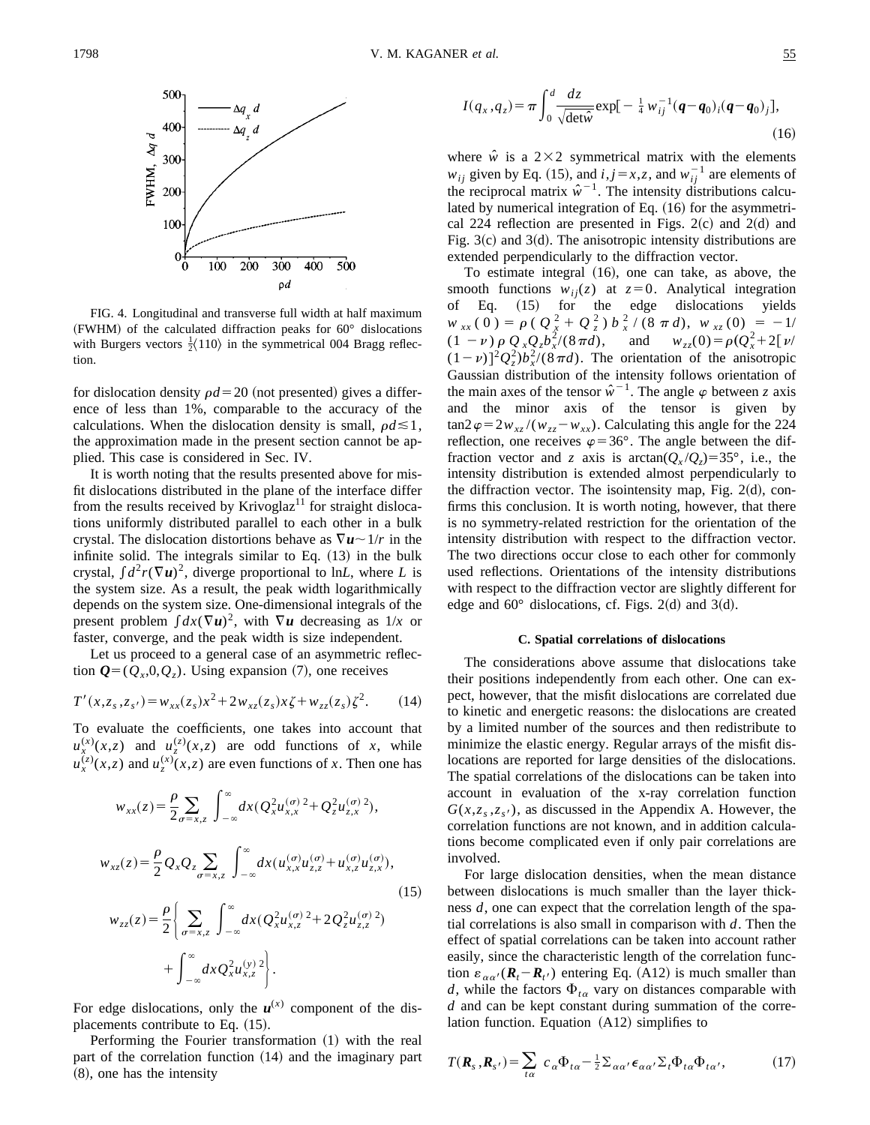

FIG. 4. Longitudinal and transverse full width at half maximum (FWHM) of the calculated diffraction peaks for  $60^{\circ}$  dislocations with Burgers vectors  $\frac{1}{2}$ (110) in the symmetrical 004 Bragg reflection.

for dislocation density  $\rho d=20$  (not presented) gives a difference of less than 1%, comparable to the accuracy of the calculations. When the dislocation density is small,  $\rho d \leq 1$ , the approximation made in the present section cannot be applied. This case is considered in Sec. IV.

It is worth noting that the results presented above for misfit dislocations distributed in the plane of the interface differ from the results received by Krivoglaz<sup>11</sup> for straight dislocations uniformly distributed parallel to each other in a bulk crystal. The dislocation distortions behave as  $\nabla u \sim 1/r$  in the infinite solid. The integrals similar to Eq.  $(13)$  in the bulk crystal,  $\int d^2r(\nabla u)^2$ , diverge proportional to ln*L*, where *L* is the system size. As a result, the peak width logarithmically depends on the system size. One-dimensional integrals of the present problem  $\int dx (\nabla u)^2$ , with  $\nabla u$  decreasing as  $1/x$  or faster, converge, and the peak width is size independent.

Let us proceed to a general case of an asymmetric reflection  $Q=(Q_x,0,Q_z)$ . Using expansion (7), one receives

$$
T'(x, z_s, z_{s'}) = w_{xx}(z_s)x^2 + 2w_{xz}(z_s)x\zeta + w_{zz}(z_s)\zeta^2.
$$
 (14)

To evaluate the coefficients, one takes into account that  $u_x^{(x)}(x, z)$  and  $u_z^{(z)}(x, z)$  are odd functions of *x*, while  $u_x^{(z)}(x, z)$  and  $u_z^{(x)}(x, z)$  are even functions of *x*. Then one has

$$
w_{xx}(z) = \frac{\rho}{2} \sum_{\sigma=x,z} \int_{-\infty}^{\infty} dx (Q_x^2 u_{x,x}^{(\sigma)} + Q_z^2 u_{z,x}^{(\sigma)}^2),
$$
  
\n
$$
w_{xz}(z) = \frac{\rho}{2} Q_x Q_z \sum_{\sigma=x,z} \int_{-\infty}^{\infty} dx (u_{x,x}^{(\sigma)} u_{z,z}^{(\sigma)} + u_{x,z}^{(\sigma)} u_{z,x}^{(\sigma)}),
$$
  
\n
$$
w_{zz}(z) = \frac{\rho}{2} \left\{ \sum_{\sigma=x,z} \int_{-\infty}^{\infty} dx (Q_x^2 u_{x,z}^{(\sigma)} + 2Q_z^2 u_{z,z}^{(\sigma)}^2) + \int_{-\infty}^{\infty} dx Q_x^2 u_{x,z}^{(\nu)} \right\}.
$$
  
\n(15)

For edge dislocations, only the  $u^{(x)}$  component of the displacements contribute to Eq.  $(15)$ .

Performing the Fourier transformation  $(1)$  with the real part of the correlation function  $(14)$  and the imaginary part  $(8)$ , one has the intensity

$$
I(q_x, q_z) = \pi \int_0^d \frac{dz}{\sqrt{\det \hat{w}}} \exp[-\frac{1}{4} w_{ij}^{-1} (\bm{q} - \bm{q}_0)_i (\bm{q} - \bm{q}_0)_j],
$$
\n(16)

where  $\hat{w}$  is a 2×2 symmetrical matrix with the elements  $w_{ij}$  given by Eq. (15), and  $i, j = x, z$ , and  $w_{ij}^{-1}$  are elements of the reciprocal matrix  $\hat{w}^{-1}$ . The intensity distributions calculated by numerical integration of Eq.  $(16)$  for the asymmetrical 224 reflection are presented in Figs.  $2(c)$  and  $2(d)$  and Fig.  $3(c)$  and  $3(d)$ . The anisotropic intensity distributions are extended perpendicularly to the diffraction vector.

To estimate integral  $(16)$ , one can take, as above, the smooth functions  $w_{ij}(z)$  at  $z=0$ . Analytical integration of Eq. (15) for the edge dislocations yields  $w_{xx}(0) = \rho ( Q_x^2 + Q_z^2) b_x^2 / (8 \pi d), w_{xz}(0) = -1/2$  $(1 - \nu) \rho Q_x Q_z b_x^2 / (8 \pi d),$  and  $w_{zz}(0) = \rho (Q_x^2 + 2[\nu/\sqrt{2} + \nu/\sqrt{2}])$  $(1-\nu)$ <sup>2</sup> $Q_z^2$  $b_x^2/(8\pi d)$ . The orientation of the anisotropic Gaussian distribution of the intensity follows orientation of the main axes of the tensor  $\hat{w}^{-1}$ . The angle  $\varphi$  between *z* axis and the minor axis of the tensor is given by  $\tan 2\varphi = 2w_{xz}/(w_{zz} - w_{xx})$ . Calculating this angle for the 224 reflection, one receives  $\varphi=36^\circ$ . The angle between the diffraction vector and *z* axis is  $arctan(Q_x/Q_z) = 35^\circ$ , i.e., the intensity distribution is extended almost perpendicularly to the diffraction vector. The isointensity map, Fig.  $2(d)$ , confirms this conclusion. It is worth noting, however, that there is no symmetry-related restriction for the orientation of the intensity distribution with respect to the diffraction vector. The two directions occur close to each other for commonly used reflections. Orientations of the intensity distributions with respect to the diffraction vector are slightly different for edge and  $60^{\circ}$  dislocations, cf. Figs. 2(d) and 3(d).

#### **C. Spatial correlations of dislocations**

The considerations above assume that dislocations take their positions independently from each other. One can expect, however, that the misfit dislocations are correlated due to kinetic and energetic reasons: the dislocations are created by a limited number of the sources and then redistribute to minimize the elastic energy. Regular arrays of the misfit dislocations are reported for large densities of the dislocations. The spatial correlations of the dislocations can be taken into account in evaluation of the x-ray correlation function  $G(x, z<sub>s</sub>, z<sub>s</sub>)$ , as discussed in the Appendix A. However, the correlation functions are not known, and in addition calculations become complicated even if only pair correlations are involved.

For large dislocation densities, when the mean distance between dislocations is much smaller than the layer thickness *d*, one can expect that the correlation length of the spatial correlations is also small in comparison with *d*. Then the effect of spatial correlations can be taken into account rather easily, since the characteristic length of the correlation function  $\varepsilon_{\alpha\alpha'}(\mathbf{R}_t - \mathbf{R}_{t'})$  entering Eq. (A12) is much smaller than *d*, while the factors  $\Phi_{t\alpha}$  vary on distances comparable with *d* and can be kept constant during summation of the correlation function. Equation  $(A12)$  simplifies to

$$
T(\boldsymbol{R}_s, \boldsymbol{R}_{s'}) = \sum_{t\alpha} c_{\alpha} \Phi_{t\alpha} - \frac{1}{2} \Sigma_{\alpha\alpha'} \epsilon_{\alpha\alpha'} \Sigma_t \Phi_{t\alpha} \Phi_{t\alpha'}, \qquad (17)
$$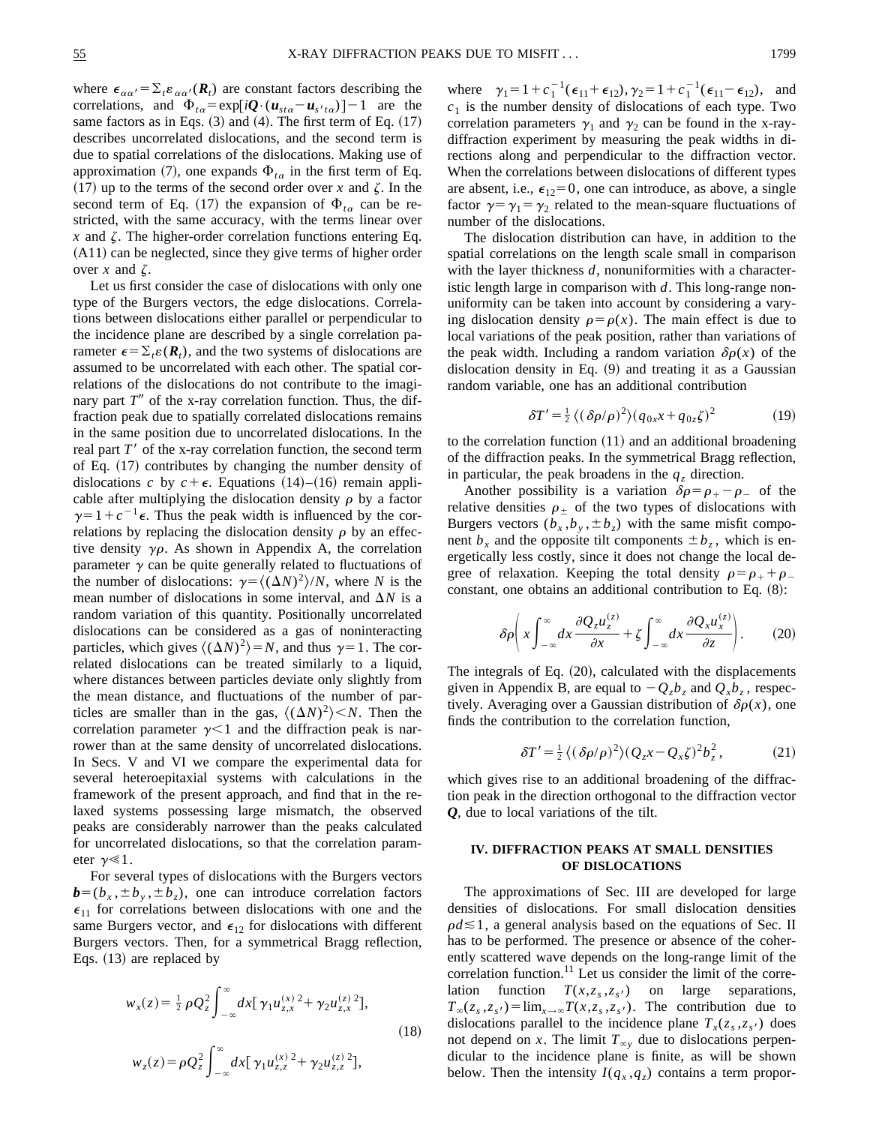where  $\epsilon_{\alpha\alpha'} = \sum_t \epsilon_{\alpha\alpha'}(\mathbf{R}_t)$  are constant factors describing the correlations, and  $\Phi_{t\alpha} = \exp[iQ \cdot (\mathbf{u}_{sta} - \mathbf{u}_{s'ta})] - 1$  are the same factors as in Eqs.  $(3)$  and  $(4)$ . The first term of Eq.  $(17)$ describes uncorrelated dislocations, and the second term is due to spatial correlations of the dislocations. Making use of approximation (7), one expands  $\Phi_{t\alpha}$  in the first term of Eq.  $(17)$  up to the terms of the second order over *x* and  $\zeta$ . In the second term of Eq. (17) the expansion of  $\Phi_{t\alpha}$  can be restricted, with the same accuracy, with the terms linear over  $x$  and  $\zeta$ . The higher-order correlation functions entering Eq.  $(A11)$  can be neglected, since they give terms of higher order over  $x$  and  $\zeta$ .

Let us first consider the case of dislocations with only one type of the Burgers vectors, the edge dislocations. Correlations between dislocations either parallel or perpendicular to the incidence plane are described by a single correlation parameter  $\epsilon = \sum_i \epsilon(R_i)$ , and the two systems of dislocations are assumed to be uncorrelated with each other. The spatial correlations of the dislocations do not contribute to the imaginary part  $T''$  of the x-ray correlation function. Thus, the diffraction peak due to spatially correlated dislocations remains in the same position due to uncorrelated dislocations. In the real part  $T'$  of the x-ray correlation function, the second term of Eq.  $(17)$  contributes by changing the number density of dislocations *c* by  $c + \epsilon$ . Equations (14)–(16) remain applicable after multiplying the dislocation density  $\rho$  by a factor  $\gamma=1+c^{-1}\epsilon$ . Thus the peak width is influenced by the correlations by replacing the dislocation density  $\rho$  by an effective density  $\gamma \rho$ . As shown in Appendix A, the correlation parameter  $\gamma$  can be quite generally related to fluctuations of the number of dislocations:  $\gamma = \langle (\Delta N)^2 \rangle/N$ , where *N* is the mean number of dislocations in some interval, and  $\Delta N$  is a random variation of this quantity. Positionally uncorrelated dislocations can be considered as a gas of noninteracting particles, which gives  $\langle (\Delta N)^2 \rangle = N$ , and thus  $\gamma = 1$ . The correlated dislocations can be treated similarly to a liquid, where distances between particles deviate only slightly from the mean distance, and fluctuations of the number of particles are smaller than in the gas,  $\langle (\Delta N)^2 \rangle \langle N$ . Then the correlation parameter  $\gamma$ <1 and the diffraction peak is narrower than at the same density of uncorrelated dislocations. In Secs. V and VI we compare the experimental data for several heteroepitaxial systems with calculations in the framework of the present approach, and find that in the relaxed systems possessing large mismatch, the observed peaks are considerably narrower than the peaks calculated for uncorrelated dislocations, so that the correlation parameter  $\gamma \ll 1$ .

For several types of dislocations with the Burgers vectors **, one can introduce correlation factors**  $\epsilon_{11}$  for correlations between dislocations with one and the same Burgers vector, and  $\epsilon_{12}$  for dislocations with different Burgers vectors. Then, for a symmetrical Bragg reflection, Eqs.  $(13)$  are replaced by

$$
w_x(z) = \frac{1}{2} \rho Q_z^2 \int_{-\infty}^{\infty} dx \left[ \gamma_1 u_{z,x}^{(x)}{}^2 + \gamma_2 u_{z,x}^{(z)}{}^2 \right],
$$
  
\n
$$
w_z(z) = \rho Q_z^2 \int_{-\infty}^{\infty} dx \left[ \gamma_1 u_{z,z}^{(x)}{}^2 + \gamma_2 u_{z,z}^{(z)}{}^2 \right],
$$
\n(18)

where  $\gamma_1 = 1 + c_1^{-1}(\epsilon_{11} + \epsilon_{12}), \gamma_2 = 1 + c_1^{-1}(\epsilon_{11} - \epsilon_{12}),$  and  $c<sub>1</sub>$  is the number density of dislocations of each type. Two correlation parameters  $\gamma_1$  and  $\gamma_2$  can be found in the x-raydiffraction experiment by measuring the peak widths in directions along and perpendicular to the diffraction vector. When the correlations between dislocations of different types are absent, i.e.,  $\epsilon_{12}=0$ , one can introduce, as above, a single factor  $\gamma = \gamma_1 = \gamma_2$  related to the mean-square fluctuations of number of the dislocations.

The dislocation distribution can have, in addition to the spatial correlations on the length scale small in comparison with the layer thickness *d*, nonuniformities with a characteristic length large in comparison with *d*. This long-range nonuniformity can be taken into account by considering a varying dislocation density  $\rho = \rho(x)$ . The main effect is due to local variations of the peak position, rather than variations of the peak width. Including a random variation  $\delta \rho(x)$  of the dislocation density in Eq.  $(9)$  and treating it as a Gaussian random variable, one has an additional contribution

$$
\delta T' = \frac{1}{2} \langle (\delta \rho / \rho)^2 \rangle (q_{0x} x + q_{0z} \zeta)^2 \tag{19}
$$

to the correlation function  $(11)$  and an additional broadening of the diffraction peaks. In the symmetrical Bragg reflection, in particular, the peak broadens in the  $q<sub>z</sub>$  direction.

Another possibility is a variation  $\delta \rho = \rho_+ - \rho_-$  of the relative densities  $\rho_{\pm}$  of the two types of dislocations with Burgers vectors  $(b_x, b_y, \pm b_z)$  with the same misfit component  $b_x$  and the opposite tilt components  $\pm b_z$ , which is energetically less costly, since it does not change the local degree of relaxation. Keeping the total density  $\rho = \rho_+ + \rho_$ constant, one obtains an additional contribution to Eq.  $(8)$ :

$$
\delta \rho \bigg( x \int_{-\infty}^{\infty} dx \frac{\partial Q_z u_z^{(z)}}{\partial x} + \zeta \int_{-\infty}^{\infty} dx \frac{\partial Q_x u_x^{(z)}}{\partial z} \bigg). \tag{20}
$$

The integrals of Eq.  $(20)$ , calculated with the displacements given in Appendix B, are equal to  $-Q_zb_z$  and  $Q_xb_z$ , respectively. Averaging over a Gaussian distribution of  $\delta \rho(x)$ , one finds the contribution to the correlation function,

$$
\delta T' = \frac{1}{2} \langle (\delta \rho / \rho)^2 \rangle (Q_z x - Q_x \zeta)^2 b_z^2, \tag{21}
$$

which gives rise to an additional broadening of the diffraction peak in the direction orthogonal to the diffraction vector *Q*, due to local variations of the tilt.

## **IV. DIFFRACTION PEAKS AT SMALL DENSITIES OF DISLOCATIONS**

The approximations of Sec. III are developed for large densities of dislocations. For small dislocation densities  $pd \leq 1$ , a general analysis based on the equations of Sec. II has to be performed. The presence or absence of the coherently scattered wave depends on the long-range limit of the correlation function.<sup>11</sup> Let us consider the limit of the correlation function  $T(x, z_s, z_{s'})$  on large separations,  $T_{\infty}(z_s, z_{s}) = \lim_{x \to \infty} T(x, z_s, z_{s})$ . The contribution due to dislocations parallel to the incidence plane  $T_x(z_s, z_{s})$  does not depend on *x*. The limit  $T_{\infty}$  due to dislocations perpendicular to the incidence plane is finite, as will be shown below. Then the intensity  $I(q_x, q_z)$  contains a term propor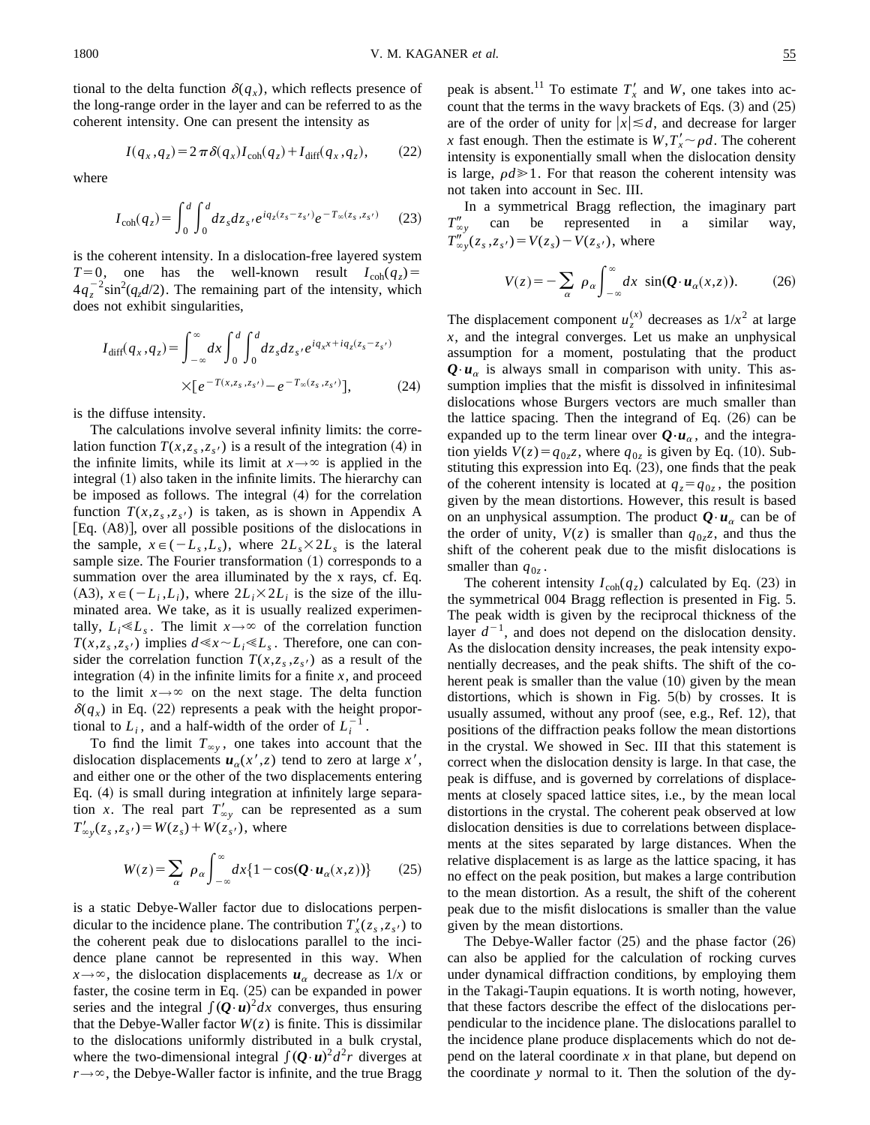tional to the delta function  $\delta(q_x)$ , which reflects presence of the long-range order in the layer and can be referred to as the coherent intensity. One can present the intensity as

$$
I(q_x, q_z) = 2 \pi \delta(q_x) I_{\text{coh}}(q_z) + I_{\text{diff}}(q_x, q_z), \qquad (22)
$$

where

$$
I_{\text{coh}}(q_z) = \int_0^d \int_0^d dz_s dz_s e^{iq_z(z_s - z_{s'})} e^{-T_{\infty}(z_s, z_{s'})}
$$
 (23)

is the coherent intensity. In a dislocation-free layered system  $T=0$ , one has the well-known result  $I_{coh}(q_z)$  $4q_z^{-2}$ sin<sup>2</sup>( $q_z d/2$ ). The remaining part of the intensity, which does not exhibit singularities,

$$
I_{\text{diff}}(q_x, q_z) = \int_{-\infty}^{\infty} dx \int_0^d \int_0^d dz_s dz_s e^{iq_x x + iq_z(z_s - z_{s'})}
$$

$$
\times [e^{-T(x, z_s, z_{s'})} - e^{-T_{\infty}(z_s, z_{s'})}], \tag{24}
$$

is the diffuse intensity.

The calculations involve several infinity limits: the correlation function  $T(x, z_s, z_{s'})$  is a result of the integration (4) in the infinite limits, while its limit at  $x \rightarrow \infty$  is applied in the  $\int$ integral  $(1)$  also taken in the infinite limits. The hierarchy can be imposed as follows. The integral  $(4)$  for the correlation function  $T(x, z_s, z_{s})$  is taken, as is shown in Appendix A  $[Eq. (A8)]$ , over all possible positions of the dislocations in the sample,  $x \in (-L_s, L_s)$ , where  $2L_s \times 2L_s$  is the lateral sample size. The Fourier transformation  $(1)$  corresponds to a summation over the area illuminated by the x rays, cf. Eq.  $(A3)$ ,  $x \in (-L_i, L_i)$ , where  $2L_i \times 2L_i$  is the size of the illuminated area. We take, as it is usually realized experimentally,  $L_i \ll L_s$ . The limit  $x \rightarrow \infty$  of the correlation function  $T(x, z_s, z_s)$  implies  $d \le x \sim L_i \le L_s$ . Therefore, one can consider the correlation function  $T(x, z_s, z_{s})$  as a result of the integration  $(4)$  in the infinite limits for a finite *x*, and proceed to the limit  $x \rightarrow \infty$  on the next stage. The delta function  $\delta(q_x)$  in Eq. (22) represents a peak with the height proportional to  $L_i$ , and a half-width of the order of  $L_i^{-1}$ .

To find the limit  $T_{\infty y}$ , one takes into account that the dislocation displacements  $u_{\alpha}(x',z)$  tend to zero at large x', and either one or the other of the two displacements entering Eq. (4) is small during integration at infinitely large separation *x*. The real part  $T'_{\infty y}$  can be represented as a sum  $T'_{\infty y}(z_s, z_{s}) = W(z_s) + W(z_{s})$ , where

$$
W(z) = \sum_{\alpha} \rho_{\alpha} \int_{-\infty}^{\infty} dx \{ 1 - \cos(Q \cdot u_{\alpha}(x, z)) \} \qquad (25)
$$

is a static Debye-Waller factor due to dislocations perpendicular to the incidence plane. The contribution  $T'_x(z_s, z_{s'})$  to the coherent peak due to dislocations parallel to the incidence plane cannot be represented in this way. When  $x \rightarrow \infty$ , the dislocation displacements  $u_{\alpha}$  decrease as  $1/x$  or faster, the cosine term in Eq.  $(25)$  can be expanded in power series and the integral  $\int (Q \cdot u)^2 dx$  converges, thus ensuring that the Debye-Waller factor  $W(z)$  is finite. This is dissimilar to the dislocations uniformly distributed in a bulk crystal, where the two-dimensional integral  $\int (Q \cdot u)^2 d^2r$  diverges at  $r \rightarrow \infty$ , the Debye-Waller factor is infinite, and the true Bragg

peak is absent.<sup>11</sup> To estimate  $T'_x$  and *W*, one takes into account that the terms in the wavy brackets of Eqs.  $(3)$  and  $(25)$ are of the order of unity for  $|x| \le d$ , and decrease for larger *x* fast enough. Then the estimate is  $W, T_x' \sim \rho d$ . The coherent intensity is exponentially small when the dislocation density is large,  $\rho d \ge 1$ . For that reason the coherent intensity was not taken into account in Sec. III.

In a symmetrical Bragg reflection, the imaginary part  $T''_{\infty y}$  can be represented in a similar way,  $T''_{\infty y}(z_s, z_{s}) = V(z_s) - V(z_{s}),$  where

$$
V(z) = -\sum_{\alpha} \rho_{\alpha} \int_{-\infty}^{\infty} dx \sin(Q \cdot u_{\alpha}(x, z)).
$$
 (26)

The displacement component  $u_z^{(x)}$  decreases as  $1/x^2$  at large *x*, and the integral converges. Let us make an unphysical assumption for a moment, postulating that the product  $Q \cdot u_{\alpha}$  is always small in comparison with unity. This assumption implies that the misfit is dissolved in infinitesimal dislocations whose Burgers vectors are much smaller than the lattice spacing. Then the integrand of Eq.  $(26)$  can be expanded up to the term linear over  $Q \cdot u_{\alpha}$ , and the integration yields  $V(z) = q_{0z}z$ , where  $q_{0z}$  is given by Eq. (10). Substituting this expression into Eq.  $(23)$ , one finds that the peak of the coherent intensity is located at  $q_z = q_{0z}$ , the position given by the mean distortions. However, this result is based on an unphysical assumption. The product  $Q \cdot u_{\alpha}$  can be of the order of unity,  $V(z)$  is smaller than  $q_{0z}z$ , and thus the shift of the coherent peak due to the misfit dislocations is smaller than  $q_{0z}$ .

The coherent intensity  $I_{coh}(q_z)$  calculated by Eq. (23) in the symmetrical 004 Bragg reflection is presented in Fig. 5. The peak width is given by the reciprocal thickness of the layer  $d^{-1}$ , and does not depend on the dislocation density. As the dislocation density increases, the peak intensity exponentially decreases, and the peak shifts. The shift of the coherent peak is smaller than the value  $(10)$  given by the mean distortions, which is shown in Fig.  $5(b)$  by crosses. It is usually assumed, without any proof (see, e.g., Ref. 12), that positions of the diffraction peaks follow the mean distortions in the crystal. We showed in Sec. III that this statement is correct when the dislocation density is large. In that case, the peak is diffuse, and is governed by correlations of displacements at closely spaced lattice sites, i.e., by the mean local distortions in the crystal. The coherent peak observed at low dislocation densities is due to correlations between displacements at the sites separated by large distances. When the relative displacement is as large as the lattice spacing, it has no effect on the peak position, but makes a large contribution to the mean distortion. As a result, the shift of the coherent peak due to the misfit dislocations is smaller than the value given by the mean distortions.

The Debye-Waller factor  $(25)$  and the phase factor  $(26)$ can also be applied for the calculation of rocking curves under dynamical diffraction conditions, by employing them in the Takagi-Taupin equations. It is worth noting, however, that these factors describe the effect of the dislocations perpendicular to the incidence plane. The dislocations parallel to the incidence plane produce displacements which do not depend on the lateral coordinate *x* in that plane, but depend on the coordinate *y* normal to it. Then the solution of the dy-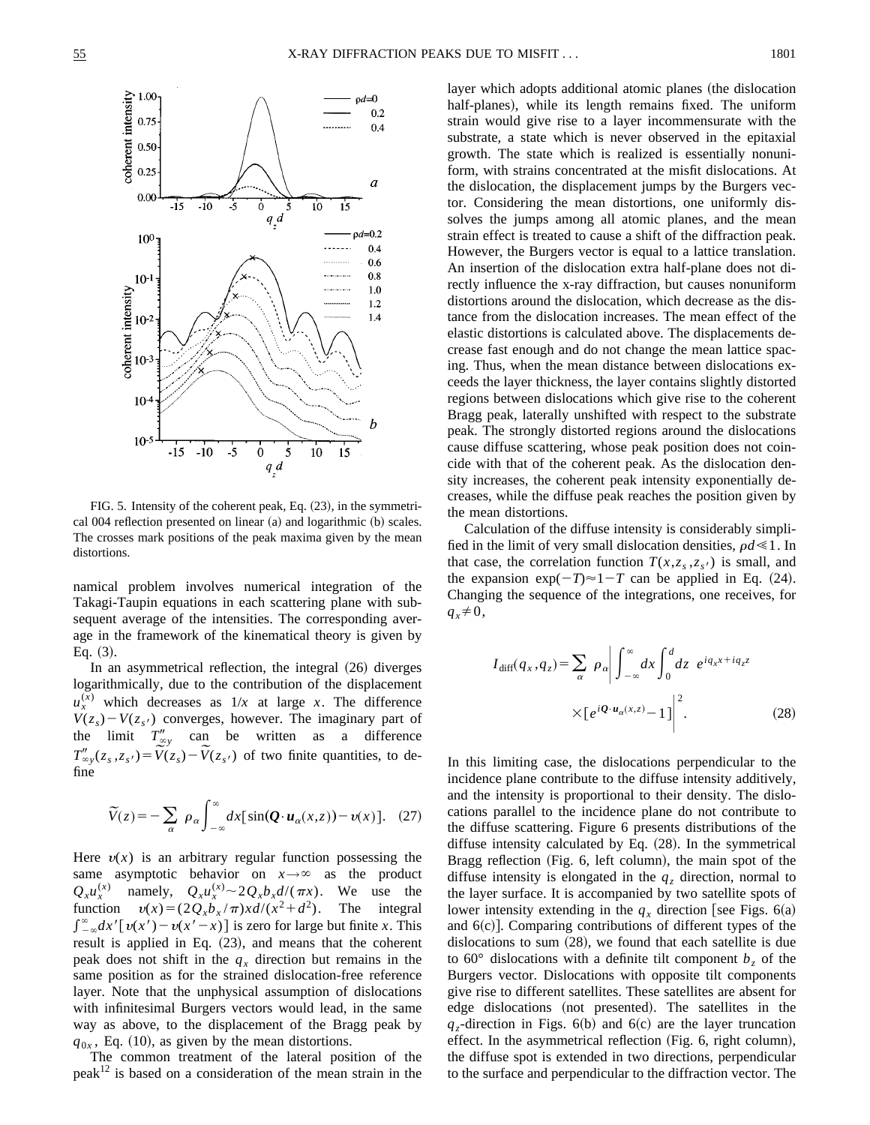

FIG. 5. Intensity of the coherent peak, Eq.  $(23)$ , in the symmetrical  $004$  reflection presented on linear  $(a)$  and logarithmic  $(b)$  scales. The crosses mark positions of the peak maxima given by the mean distortions.

namical problem involves numerical integration of the Takagi-Taupin equations in each scattering plane with subsequent average of the intensities. The corresponding average in the framework of the kinematical theory is given by Eq.  $(3)$ .

In an asymmetrical reflection, the integral  $(26)$  diverges logarithmically, due to the contribution of the displacement  $u_x^{(x)}$  which decreases as  $1/x$  at large *x*. The difference  $V(z_s) - V(z_{s'})$  converges, however. The imaginary part of the limit  $T''_{\infty y}$  can be written as a difference the limit  $I_{\infty y}$  can be written as a difference  $T''_{\infty y}(z_s, z_{s}) = \widetilde{V}(z_s) - \widetilde{V}(z_{s})$  of two finite quantities, to define

$$
\widetilde{V}(z) = -\sum_{\alpha} \rho_{\alpha} \int_{-\infty}^{\infty} dx [\sin(Q \cdot u_{\alpha}(x, z)) - v(x)]. \quad (27)
$$

Here  $v(x)$  is an arbitrary regular function possessing the same asymptotic behavior on  $x \rightarrow \infty$  as the product  $Q_x u_x^{(x)}$  namely,  $Q_x u_x^{(x)} \sim 2Q_x b_x d/(\pi x)$ . We use the function  $v(x)=(2Q_xb_x/\pi)x d/(x^2+d^2)$ . The integral  $\int_{-\infty}^{\infty} dx' [v(x') - v(x' - x)]$  is zero for large but finite *x*. This result is applied in Eq.  $(23)$ , and means that the coherent peak does not shift in the  $q_x$  direction but remains in the same position as for the strained dislocation-free reference layer. Note that the unphysical assumption of dislocations with infinitesimal Burgers vectors would lead, in the same way as above, to the displacement of the Bragg peak by  $q_{0x}$ , Eq. (10), as given by the mean distortions.

The common treatment of the lateral position of the  $peak<sup>12</sup>$  is based on a consideration of the mean strain in the layer which adopts additional atomic planes (the dislocation half-planes), while its length remains fixed. The uniform strain would give rise to a layer incommensurate with the substrate, a state which is never observed in the epitaxial growth. The state which is realized is essentially nonuniform, with strains concentrated at the misfit dislocations. At the dislocation, the displacement jumps by the Burgers vector. Considering the mean distortions, one uniformly dissolves the jumps among all atomic planes, and the mean strain effect is treated to cause a shift of the diffraction peak. However, the Burgers vector is equal to a lattice translation. An insertion of the dislocation extra half-plane does not directly influence the x-ray diffraction, but causes nonuniform distortions around the dislocation, which decrease as the distance from the dislocation increases. The mean effect of the elastic distortions is calculated above. The displacements decrease fast enough and do not change the mean lattice spacing. Thus, when the mean distance between dislocations exceeds the layer thickness, the layer contains slightly distorted regions between dislocations which give rise to the coherent Bragg peak, laterally unshifted with respect to the substrate peak. The strongly distorted regions around the dislocations cause diffuse scattering, whose peak position does not coincide with that of the coherent peak. As the dislocation density increases, the coherent peak intensity exponentially decreases, while the diffuse peak reaches the position given by the mean distortions.

Calculation of the diffuse intensity is considerably simplified in the limit of very small dislocation densities,  $\rho d \le 1$ . In that case, the correlation function  $T(x, z_s, z_{s'})$  is small, and the expansion  $exp(-T) \approx 1 - T$  can be applied in Eq. (24). Changing the sequence of the integrations, one receives, for  $q_{r} \neq 0$ ,

$$
I_{\text{diff}}(q_x, q_z) = \sum_{\alpha} \rho_{\alpha} \left| \int_{-\infty}^{\infty} dx \int_{0}^{d} dz \ e^{iq_x x + iq_z z} \right|
$$

$$
\times \left[ e^{iQ \cdot u_{\alpha}(x, z)} - 1 \right]^{2}.
$$
 (28)

In this limiting case, the dislocations perpendicular to the incidence plane contribute to the diffuse intensity additively, and the intensity is proportional to their density. The dislocations parallel to the incidence plane do not contribute to the diffuse scattering. Figure 6 presents distributions of the diffuse intensity calculated by Eq.  $(28)$ . In the symmetrical Bragg reflection (Fig. 6, left column), the main spot of the diffuse intensity is elongated in the  $q<sub>z</sub>$  direction, normal to the layer surface. It is accompanied by two satellite spots of lower intensity extending in the  $q_x$  direction [see Figs. 6(a) and  $6(c)$ . Comparing contributions of different types of the dislocations to sum  $(28)$ , we found that each satellite is due to  $60^\circ$  dislocations with a definite tilt component  $b_z$  of the Burgers vector. Dislocations with opposite tilt components give rise to different satellites. These satellites are absent for edge dislocations (not presented). The satellites in the  $q_z$ -direction in Figs. 6(b) and 6(c) are the layer truncation effect. In the asymmetrical reflection  $(Fig. 6, right column)$ , the diffuse spot is extended in two directions, perpendicular to the surface and perpendicular to the diffraction vector. The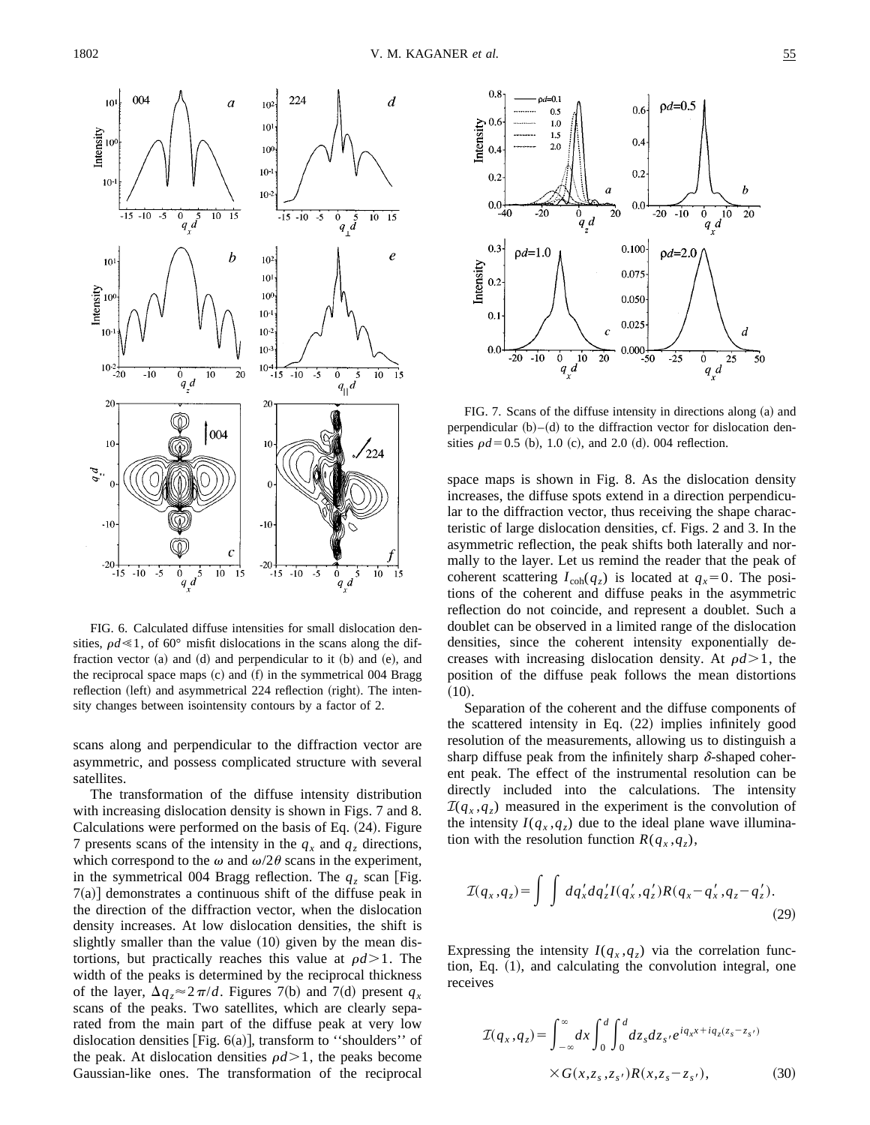

FIG. 6. Calculated diffuse intensities for small dislocation densities,  $\rho d \ll 1$ , of 60° misfit dislocations in the scans along the diffraction vector  $(a)$  and  $(d)$  and perpendicular to it  $(b)$  and  $(e)$ , and the reciprocal space maps  $(c)$  and  $(f)$  in the symmetrical 004 Bragg reflection (left) and asymmetrical 224 reflection (right). The intensity changes between isointensity contours by a factor of 2.

scans along and perpendicular to the diffraction vector are asymmetric, and possess complicated structure with several satellites.

The transformation of the diffuse intensity distribution with increasing dislocation density is shown in Figs. 7 and 8. Calculations were performed on the basis of Eq.  $(24)$ . Figure 7 presents scans of the intensity in the  $q_x$  and  $q_z$  directions, which correspond to the  $\omega$  and  $\omega/2\theta$  scans in the experiment, in the symmetrical 004 Bragg reflection. The  $q_z$  scan [Fig.  $7(a)$ ] demonstrates a continuous shift of the diffuse peak in the direction of the diffraction vector, when the dislocation density increases. At low dislocation densities, the shift is slightly smaller than the value  $(10)$  given by the mean distortions, but practically reaches this value at  $\rho d > 1$ . The width of the peaks is determined by the reciprocal thickness of the layer,  $\Delta q_z \approx 2\pi/d$ . Figures 7(b) and 7(d) present  $q_x$ scans of the peaks. Two satellites, which are clearly separated from the main part of the diffuse peak at very low dislocation densities [Fig.  $6(a)$ ], transform to "shoulders" of the peak. At dislocation densities  $\rho d > 1$ , the peaks become Gaussian-like ones. The transformation of the reciprocal



FIG. 7. Scans of the diffuse intensity in directions along  $(a)$  and perpendicular  $(b)$ – $(d)$  to the diffraction vector for dislocation densities  $\rho d = 0.5$  (b), 1.0 (c), and 2.0 (d). 004 reflection.

space maps is shown in Fig. 8. As the dislocation density increases, the diffuse spots extend in a direction perpendicular to the diffraction vector, thus receiving the shape characteristic of large dislocation densities, cf. Figs. 2 and 3. In the asymmetric reflection, the peak shifts both laterally and normally to the layer. Let us remind the reader that the peak of coherent scattering  $I_{\text{coh}}(q_z)$  is located at  $q_x=0$ . The positions of the coherent and diffuse peaks in the asymmetric reflection do not coincide, and represent a doublet. Such a doublet can be observed in a limited range of the dislocation densities, since the coherent intensity exponentially decreases with increasing dislocation density. At  $\rho d > 1$ , the position of the diffuse peak follows the mean distortions  $(10).$ 

Separation of the coherent and the diffuse components of the scattered intensity in Eq.  $(22)$  implies infinitely good resolution of the measurements, allowing us to distinguish a sharp diffuse peak from the infinitely sharp  $\delta$ -shaped coherent peak. The effect of the instrumental resolution can be directly included into the calculations. The intensity  $I(q_x, q_z)$  measured in the experiment is the convolution of the intensity  $I(q_x, q_z)$  due to the ideal plane wave illumination with the resolution function  $R(q_x, q_z)$ ,

$$
\mathcal{I}(q_x, q_z) = \int \int dq'_x dq'_z I(q'_x, q'_z) R(q_x - q'_x, q_z - q'_z).
$$
\n(29)

Expressing the intensity  $I(q_x, q_z)$  via the correlation function, Eq.  $(1)$ , and calculating the convolution integral, one receives

$$
\mathcal{I}(q_x, q_z) = \int_{-\infty}^{\infty} dx \int_0^d \int_0^d dz_s dz_s e^{iq_x x + iq_z(z_s - z_{s'})}
$$
  
 
$$
\times G(x, z_s, z_{s'}) R(x, z_s - z_{s'}),
$$
 (30)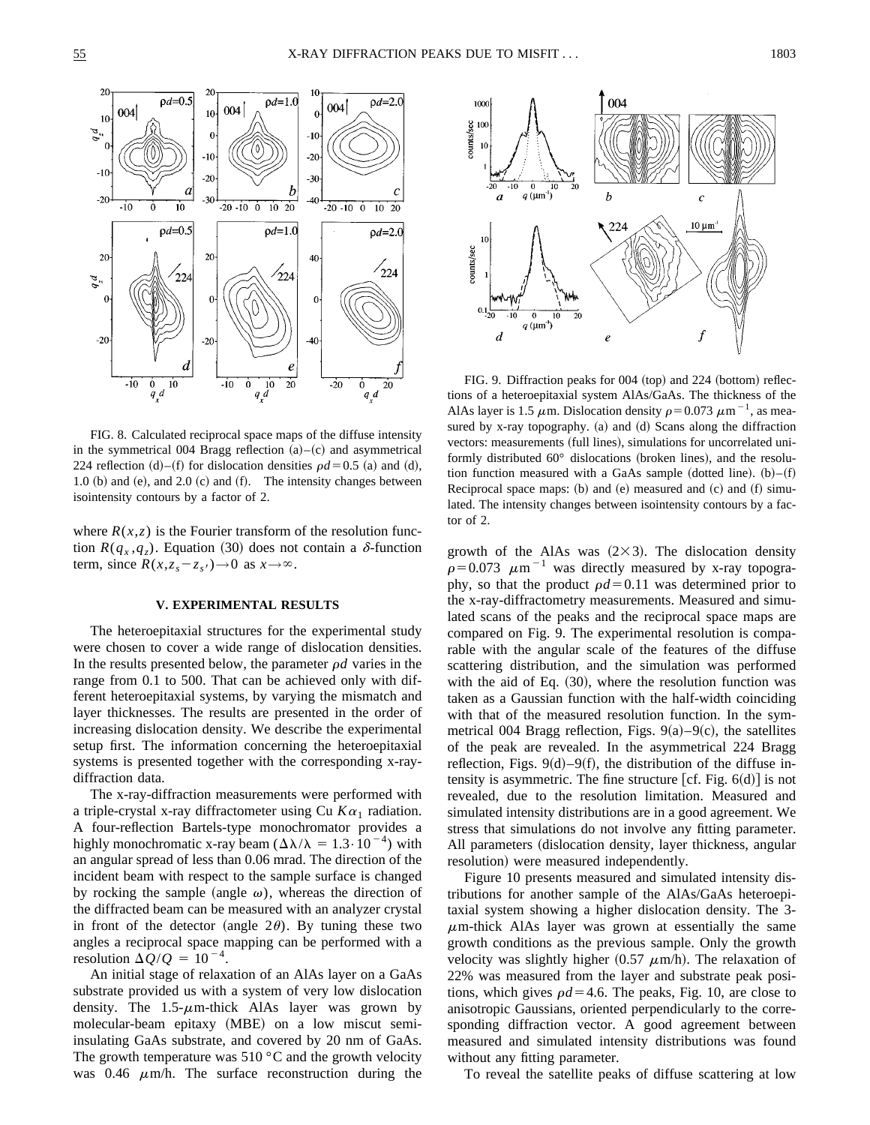

FIG. 8. Calculated reciprocal space maps of the diffuse intensity in the symmetrical 004 Bragg reflection  $(a)$ – $(c)$  and asymmetrical 224 reflection (d)–(f) for dislocation densities  $\rho d = 0.5$  (a) and (d),  $1.0$  (b) and (e), and  $2.0$  (c) and (f). The intensity changes between isointensity contours by a factor of 2.

where  $R(x, z)$  is the Fourier transform of the resolution function  $R(q_x, q_z)$ . Equation (30) does not contain a  $\delta$ -function term, since  $R(x, z_s - z_{s'}) \rightarrow 0$  as  $x \rightarrow \infty$ .

#### **V. EXPERIMENTAL RESULTS**

The heteroepitaxial structures for the experimental study were chosen to cover a wide range of dislocation densities. In the results presented below, the parameter  $\rho d$  varies in the range from 0.1 to 500. That can be achieved only with different heteroepitaxial systems, by varying the mismatch and layer thicknesses. The results are presented in the order of increasing dislocation density. We describe the experimental setup first. The information concerning the heteroepitaxial systems is presented together with the corresponding x-raydiffraction data.

The x-ray-diffraction measurements were performed with a triple-crystal x-ray diffractometer using Cu  $K\alpha_1$  radiation. A four-reflection Bartels-type monochromator provides a highly monochromatic x-ray beam  $(\Delta \lambda/\lambda = 1.3 \cdot 10^{-4})$  with an angular spread of less than 0.06 mrad. The direction of the incident beam with respect to the sample surface is changed by rocking the sample (angle  $\omega$ ), whereas the direction of the diffracted beam can be measured with an analyzer crystal in front of the detector (angle  $2\theta$ ). By tuning these two angles a reciprocal space mapping can be performed with a resolution  $\Delta Q/Q = 10^{-4}$ .

An initial stage of relaxation of an AlAs layer on a GaAs substrate provided us with a system of very low dislocation density. The  $1.5$ - $\mu$ m-thick AlAs layer was grown by molecular-beam epitaxy (MBE) on a low miscut semiinsulating GaAs substrate, and covered by 20 nm of GaAs. The growth temperature was  $510\degree C$  and the growth velocity was 0.46  $\mu$ m/h. The surface reconstruction during the



FIG. 9. Diffraction peaks for 004 (top) and 224 (bottom) reflections of a heteroepitaxial system AlAs/GaAs. The thickness of the AlAs layer is 1.5  $\mu$ m. Dislocation density  $\rho$ =0.073  $\mu$ m<sup>-1</sup>, as measured by x-ray topography.  $(a)$  and  $(d)$  Scans along the diffraction vectors: measurements (full lines), simulations for uncorrelated uniformly distributed  $60^\circ$  dislocations (broken lines), and the resolution function measured with a GaAs sample (dotted line).  $(b)$ – $(f)$ Reciprocal space maps: (b) and (e) measured and  $(c)$  and  $(f)$  simulated. The intensity changes between isointensity contours by a factor of 2.

growth of the AlAs was  $(2\times3)$ . The dislocation density  $\rho$ =0.073  $\mu$ m<sup>-1</sup> was directly measured by x-ray topography, so that the product  $\rho d$ =0.11 was determined prior to the x-ray-diffractometry measurements. Measured and simulated scans of the peaks and the reciprocal space maps are compared on Fig. 9. The experimental resolution is comparable with the angular scale of the features of the diffuse scattering distribution, and the simulation was performed with the aid of Eq.  $(30)$ , where the resolution function was taken as a Gaussian function with the half-width coinciding with that of the measured resolution function. In the symmetrical 004 Bragg reflection, Figs.  $9(a)-9(c)$ , the satellites of the peak are revealed. In the asymmetrical 224 Bragg reflection, Figs.  $9(d) - 9(f)$ , the distribution of the diffuse intensity is asymmetric. The fine structure  $[cf. Fig. 6(d)]$  is not revealed, due to the resolution limitation. Measured and simulated intensity distributions are in a good agreement. We stress that simulations do not involve any fitting parameter. All parameters (dislocation density, layer thickness, angular resolution) were measured independently.

Figure 10 presents measured and simulated intensity distributions for another sample of the AlAs/GaAs heteroepitaxial system showing a higher dislocation density. The 3-  $\mu$ m-thick AlAs layer was grown at essentially the same growth conditions as the previous sample. Only the growth velocity was slightly higher (0.57  $\mu$ m/h). The relaxation of 22% was measured from the layer and substrate peak positions, which gives  $\rho$ *d*=4.6. The peaks, Fig. 10, are close to anisotropic Gaussians, oriented perpendicularly to the corresponding diffraction vector. A good agreement between measured and simulated intensity distributions was found without any fitting parameter.

To reveal the satellite peaks of diffuse scattering at low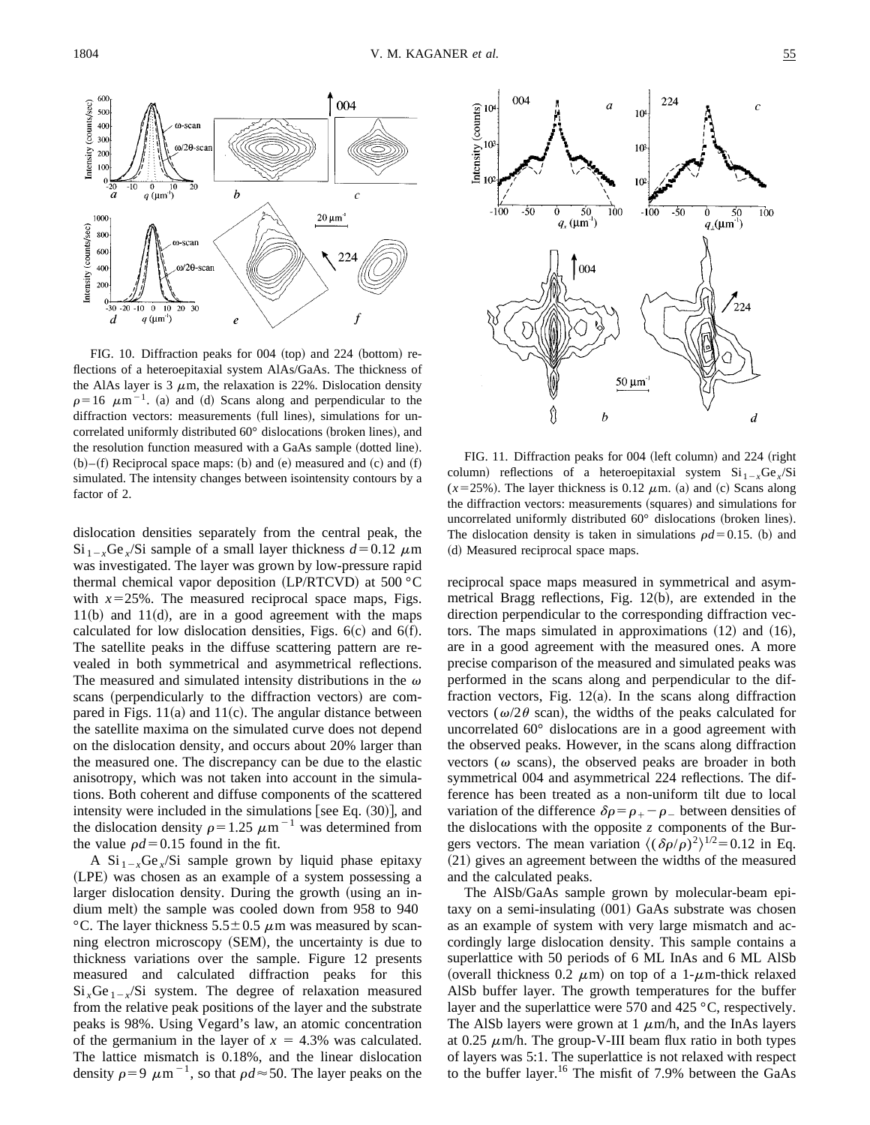



FIG. 10. Diffraction peaks for 004 (top) and 224 (bottom) reflections of a heteroepitaxial system AlAs/GaAs. The thickness of the AlAs layer is 3  $\mu$ m, the relaxation is 22%. Dislocation density  $\rho=16 \mu m^{-1}$ . (a) and (d) Scans along and perpendicular to the diffraction vectors: measurements (full lines), simulations for uncorrelated uniformly distributed  $60^{\circ}$  dislocations (broken lines), and the resolution function measured with a GaAs sample (dotted line).  $(b)$ – $(f)$  Reciprocal space maps:  $(b)$  and  $(e)$  measured and  $(c)$  and  $(f)$ simulated. The intensity changes between isointensity contours by a factor of 2.

dislocation densities separately from the central peak, the  $\text{Si}_{1-x}\text{Ge}_{x}/\text{Si}$  sample of a small layer thickness  $d=0.12 \ \mu \text{m}$ was investigated. The layer was grown by low-pressure rapid thermal chemical vapor deposition (LP/RTCVD) at 500  $^{\circ}$ C with  $x=25\%$ . The measured reciprocal space maps, Figs.  $11(b)$  and  $11(d)$ , are in a good agreement with the maps calculated for low dislocation densities, Figs.  $6(c)$  and  $6(f)$ . The satellite peaks in the diffuse scattering pattern are revealed in both symmetrical and asymmetrical reflections. The measured and simulated intensity distributions in the  $\omega$ scans (perpendicularly to the diffraction vectors) are compared in Figs.  $11(a)$  and  $11(c)$ . The angular distance between the satellite maxima on the simulated curve does not depend on the dislocation density, and occurs about 20% larger than the measured one. The discrepancy can be due to the elastic anisotropy, which was not taken into account in the simulations. Both coherent and diffuse components of the scattered intensity were included in the simulations [see Eq.  $(30)$ ], and the dislocation density  $\rho=1.25 \ \mu m^{-1}$  was determined from the value  $\rho$ *d*=0.15 found in the fit.

A  $\text{Si}_{1-x}\text{Ge}_{x}/\text{Si}$  sample grown by liquid phase epitaxy (LPE) was chosen as an example of a system possessing a larger dislocation density. During the growth (using an indium melt) the sample was cooled down from 958 to 940 °C. The layer thickness  $5.5\pm0.5$   $\mu$ m was measured by scanning electron microscopy (SEM), the uncertainty is due to thickness variations over the sample. Figure 12 presents measured and calculated diffraction peaks for this  $\text{Si}_{x}\text{Ge}_{1-x}/\text{Si}$  system. The degree of relaxation measured from the relative peak positions of the layer and the substrate peaks is 98%. Using Vegard's law, an atomic concentration of the germanium in the layer of  $x = 4.3\%$  was calculated. The lattice mismatch is 0.18%, and the linear dislocation density  $\rho = 9 \mu m^{-1}$ , so that  $\rho d \approx 50$ . The layer peaks on the



FIG. 11. Diffraction peaks for 004 (left column) and 224 (right column) reflections of a heteroepitaxial system  $Si_{1-x}Ge_{x}/Si$  $(x=25\%)$ . The layer thickness is 0.12  $\mu$ m. (a) and (c) Scans along the diffraction vectors: measurements (squares) and simulations for uncorrelated uniformly distributed  $60^\circ$  dislocations (broken lines). The dislocation density is taken in simulations  $\rho d$ =0.15. (b) and (d) Measured reciprocal space maps.

reciprocal space maps measured in symmetrical and asymmetrical Bragg reflections, Fig.  $12(b)$ , are extended in the direction perpendicular to the corresponding diffraction vectors. The maps simulated in approximations  $(12)$  and  $(16)$ , are in a good agreement with the measured ones. A more precise comparison of the measured and simulated peaks was performed in the scans along and perpendicular to the diffraction vectors, Fig.  $12(a)$ . In the scans along diffraction vectors ( $\omega/2\theta$  scan), the widths of the peaks calculated for uncorrelated 60° dislocations are in a good agreement with the observed peaks. However, in the scans along diffraction vectors ( $\omega$  scans), the observed peaks are broader in both symmetrical 004 and asymmetrical 224 reflections. The difference has been treated as a non-uniform tilt due to local variation of the difference  $\delta \rho = \rho_+ - \rho_-$  between densities of the dislocations with the opposite *z* components of the Burgers vectors. The mean variation  $\langle (\delta \rho/\rho)^2 \rangle^{1/2} = 0.12$  in Eq.  $(21)$  gives an agreement between the widths of the measured and the calculated peaks.

The AlSb/GaAs sample grown by molecular-beam epitaxy on a semi-insulating  $(001)$  GaAs substrate was chosen as an example of system with very large mismatch and accordingly large dislocation density. This sample contains a superlattice with 50 periods of 6 ML InAs and 6 ML AlSb (overall thickness 0.2  $\mu$ m) on top of a 1- $\mu$ m-thick relaxed AlSb buffer layer. The growth temperatures for the buffer layer and the superlattice were 570 and 425 °C, respectively. The AlSb layers were grown at 1  $\mu$ m/h, and the InAs layers at 0.25  $\mu$ m/h. The group-V-III beam flux ratio in both types of layers was 5:1. The superlattice is not relaxed with respect to the buffer layer.<sup>16</sup> The misfit of 7.9% between the GaAs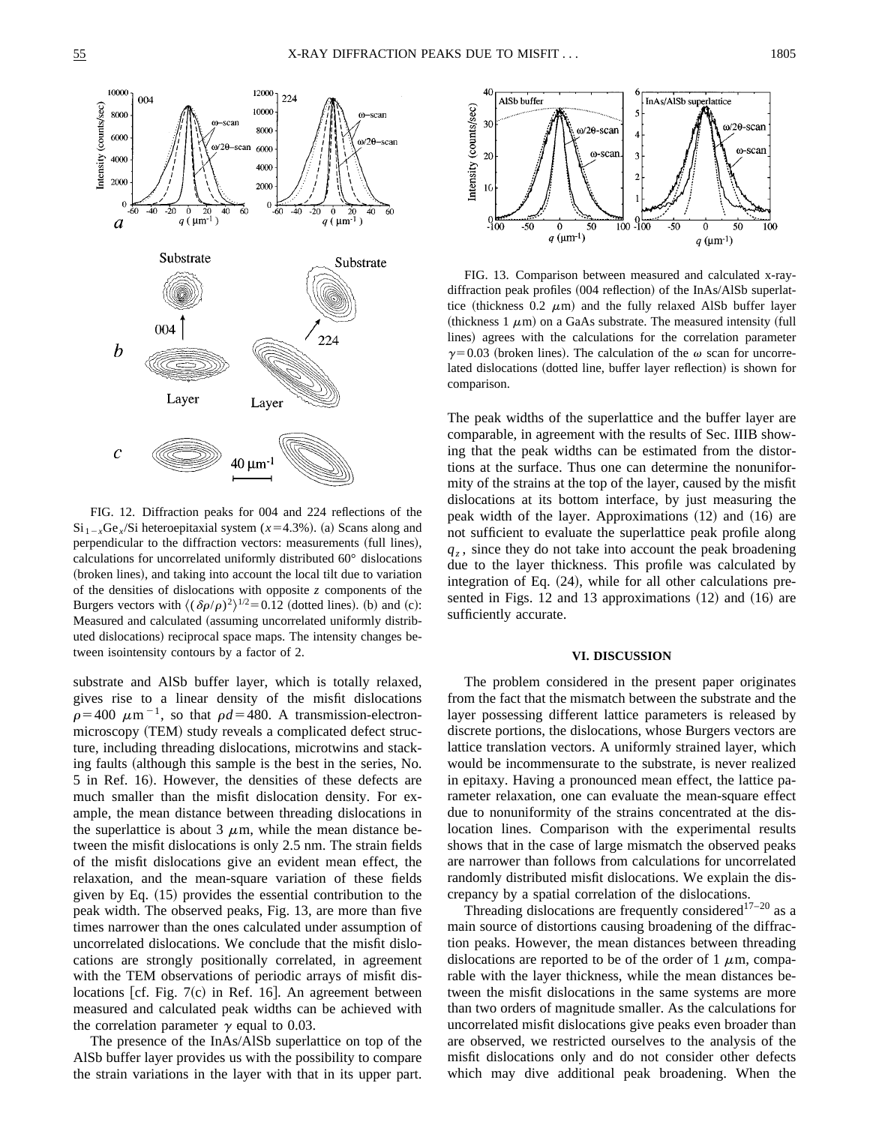

FIG. 12. Diffraction peaks for 004 and 224 reflections of the  $Si_{1-x}Ge_{x}/Si$  heteroepitaxial system ( $x=4.3%$ ). (a) Scans along and perpendicular to the diffraction vectors: measurements (full lines), calculations for uncorrelated uniformly distributed 60° dislocations (broken lines), and taking into account the local tilt due to variation of the densities of dislocations with opposite *z* components of the Burgers vectors with  $\langle (\delta \rho/\rho)^2 \rangle^{1/2} = 0.12$  (dotted lines). (b) and (c): Measured and calculated (assuming uncorrelated uniformly distributed dislocations) reciprocal space maps. The intensity changes between isointensity contours by a factor of 2.

substrate and AlSb buffer layer, which is totally relaxed, gives rise to a linear density of the misfit dislocations  $\rho$ =400  $\mu$ m<sup>-1</sup>, so that  $\rho$ *d*=480. A transmission-electronmicroscopy (TEM) study reveals a complicated defect structure, including threading dislocations, microtwins and stacking faults (although this sample is the best in the series, No. 5 in Ref. 16). However, the densities of these defects are much smaller than the misfit dislocation density. For example, the mean distance between threading dislocations in the superlattice is about 3  $\mu$ m, while the mean distance between the misfit dislocations is only 2.5 nm. The strain fields of the misfit dislocations give an evident mean effect, the relaxation, and the mean-square variation of these fields given by Eq.  $(15)$  provides the essential contribution to the peak width. The observed peaks, Fig. 13, are more than five times narrower than the ones calculated under assumption of uncorrelated dislocations. We conclude that the misfit dislocations are strongly positionally correlated, in agreement with the TEM observations of periodic arrays of misfit dislocations [cf. Fig.  $7(c)$  in Ref. 16]. An agreement between measured and calculated peak widths can be achieved with the correlation parameter  $\gamma$  equal to 0.03.

The presence of the InAs/AlSb superlattice on top of the AlSb buffer layer provides us with the possibility to compare the strain variations in the layer with that in its upper part.



FIG. 13. Comparison between measured and calculated x-raydiffraction peak profiles  $(004$  reflection) of the InAs/AlSb superlattice (thickness 0.2  $\mu$ m) and the fully relaxed AlSb buffer layer (thickness 1  $\mu$ m) on a GaAs substrate. The measured intensity (full lines) agrees with the calculations for the correlation parameter  $\gamma$ =0.03 (broken lines). The calculation of the  $\omega$  scan for uncorrelated dislocations (dotted line, buffer layer reflection) is shown for comparison.

The peak widths of the superlattice and the buffer layer are comparable, in agreement with the results of Sec. IIIB showing that the peak widths can be estimated from the distortions at the surface. Thus one can determine the nonuniformity of the strains at the top of the layer, caused by the misfit dislocations at its bottom interface, by just measuring the peak width of the layer. Approximations  $(12)$  and  $(16)$  are not sufficient to evaluate the superlattice peak profile along  $q<sub>z</sub>$ , since they do not take into account the peak broadening due to the layer thickness. This profile was calculated by integration of Eq.  $(24)$ , while for all other calculations presented in Figs. 12 and 13 approximations  $(12)$  and  $(16)$  are sufficiently accurate.

## **VI. DISCUSSION**

The problem considered in the present paper originates from the fact that the mismatch between the substrate and the layer possessing different lattice parameters is released by discrete portions, the dislocations, whose Burgers vectors are lattice translation vectors. A uniformly strained layer, which would be incommensurate to the substrate, is never realized in epitaxy. Having a pronounced mean effect, the lattice parameter relaxation, one can evaluate the mean-square effect due to nonuniformity of the strains concentrated at the dislocation lines. Comparison with the experimental results shows that in the case of large mismatch the observed peaks are narrower than follows from calculations for uncorrelated randomly distributed misfit dislocations. We explain the discrepancy by a spatial correlation of the dislocations.

Threading dislocations are frequently considered<sup>17-20</sup> as a main source of distortions causing broadening of the diffraction peaks. However, the mean distances between threading dislocations are reported to be of the order of 1  $\mu$ m, comparable with the layer thickness, while the mean distances between the misfit dislocations in the same systems are more than two orders of magnitude smaller. As the calculations for uncorrelated misfit dislocations give peaks even broader than are observed, we restricted ourselves to the analysis of the misfit dislocations only and do not consider other defects which may dive additional peak broadening. When the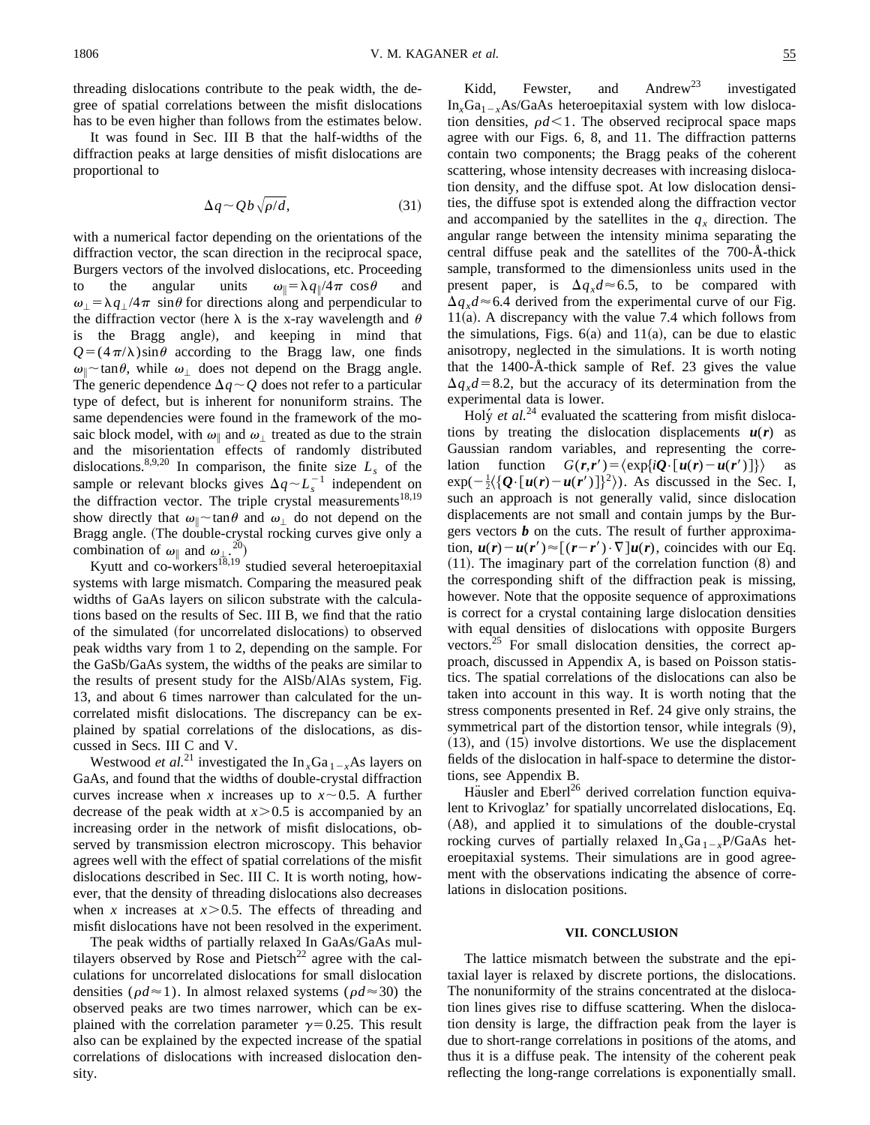It was found in Sec. III B that the half-widths of the diffraction peaks at large densities of misfit dislocations are proportional to

$$
\Delta q \sim Qb \sqrt{\rho/d},\tag{31}
$$

with a numerical factor depending on the orientations of the diffraction vector, the scan direction in the reciprocal space, Burgers vectors of the involved dislocations, etc. Proceeding to the angular units  $\omega_{\parallel} = \lambda q_{\parallel}/4\pi \cos\theta$  and  $\omega_{\perp} = \lambda q_{\perp}/4\pi$  sin $\theta$  for directions along and perpendicular to the diffraction vector (here  $\lambda$  is the x-ray wavelength and  $\theta$ is the Bragg angle), and keeping in mind that  $Q = (4\pi/\lambda)\sin\theta$  according to the Bragg law, one finds  $\omega_{\parallel}$  and, while  $\omega_{\perp}$  does not depend on the Bragg angle. The generic dependence  $\Delta q \sim Q$  does not refer to a particular type of defect, but is inherent for nonuniform strains. The same dependencies were found in the framework of the mosaic block model, with  $\omega_{\parallel}$  and  $\omega_{\perp}$  treated as due to the strain and the misorientation effects of randomly distributed dislocations.<sup>8,9,20</sup> In comparison, the finite size  $L<sub>s</sub>$  of the sample or relevant blocks gives  $\Delta q \sim L_s^{-1}$  independent on the diffraction vector. The triple crystal measurements<sup>18,19</sup> show directly that  $\omega_{\parallel} \sim \tan \theta$  and  $\omega_{\perp}$  do not depend on the Bragg angle. (The double-crystal rocking curves give only a combination of  $\omega_{\parallel}$  and  $\omega_{\perp}^{20}$ .

Kyutt and co-workers<sup>18,19</sup> studied several heteroepitaxial systems with large mismatch. Comparing the measured peak widths of GaAs layers on silicon substrate with the calculations based on the results of Sec. III B, we find that the ratio of the simulated (for uncorrelated dislocations) to observed peak widths vary from 1 to 2, depending on the sample. For the GaSb/GaAs system, the widths of the peaks are similar to the results of present study for the AlSb/AlAs system, Fig. 13, and about 6 times narrower than calculated for the uncorrelated misfit dislocations. The discrepancy can be explained by spatial correlations of the dislocations, as discussed in Secs. III C and V.

Westwood *et al.*<sup>21</sup> investigated the  $\ln_{x}Ga_{1-x}As$  layers on GaAs, and found that the widths of double-crystal diffraction curves increase when *x* increases up to  $x \sim 0.5$ . A further decrease of the peak width at  $x > 0.5$  is accompanied by an increasing order in the network of misfit dislocations, observed by transmission electron microscopy. This behavior agrees well with the effect of spatial correlations of the misfit dislocations described in Sec. III C. It is worth noting, however, that the density of threading dislocations also decreases when *x* increases at  $x > 0.5$ . The effects of threading and misfit dislocations have not been resolved in the experiment.

The peak widths of partially relaxed In GaAs/GaAs multilayers observed by Rose and Pietsch<sup>22</sup> agree with the calculations for uncorrelated dislocations for small dislocation densities ( $\rho d \approx 1$ ). In almost relaxed systems ( $\rho d \approx 30$ ) the observed peaks are two times narrower, which can be explained with the correlation parameter  $\gamma=0.25$ . This result also can be explained by the expected increase of the spatial correlations of dislocations with increased dislocation density.

Kidd, Fewster, and Andrew<sup>23</sup> investigated  $In<sub>x</sub>Ga<sub>1-x</sub>As/GaAs heteroepitaxial system with low disloca$ tion densities,  $\rho d$ <1. The observed reciprocal space maps agree with our Figs. 6, 8, and 11. The diffraction patterns contain two components; the Bragg peaks of the coherent scattering, whose intensity decreases with increasing dislocation density, and the diffuse spot. At low dislocation densities, the diffuse spot is extended along the diffraction vector and accompanied by the satellites in the  $q_x$  direction. The angular range between the intensity minima separating the central diffuse peak and the satellites of the 700-Å-thick sample, transformed to the dimensionless units used in the present paper, is  $\Delta q_x d \approx 6.5$ , to be compared with  $\Delta q_x d \approx 6.4$  derived from the experimental curve of our Fig.  $11(a)$ . A discrepancy with the value 7.4 which follows from the simulations, Figs.  $6(a)$  and  $11(a)$ , can be due to elastic anisotropy, neglected in the simulations. It is worth noting that the 1400-Å-thick sample of Ref. 23 gives the value  $\Delta q_x d = 8.2$ , but the accuracy of its determination from the experimental data is lower.

Holy<sup> *et al.*<sup>24</sup> evaluated the scattering from misfit disloca-</sup> tions by treating the dislocation displacements  $u(r)$  as Gaussian random variables, and representing the correlation function  $G(r,r') = \langle \exp\{iQ \cdot [u(r) - u(r')] \} \rangle$  as  $exp(-\frac{1}{2}\langle \{Q \cdot [u(r) - u(r')] \}^2 \rangle)$ . As discussed in the Sec. I, such an approach is not generally valid, since dislocation displacements are not small and contain jumps by the Burgers vectors *b* on the cuts. The result of further approximation,  $u(r) - u(r') \approx [(r - r') \cdot \nabla] u(r)$ , coincides with our Eq.  $(11)$ . The imaginary part of the correlation function  $(8)$  and the corresponding shift of the diffraction peak is missing, however. Note that the opposite sequence of approximations is correct for a crystal containing large dislocation densities with equal densities of dislocations with opposite Burgers vectors.<sup>25</sup> For small dislocation densities, the correct approach, discussed in Appendix A, is based on Poisson statistics. The spatial correlations of the dislocations can also be taken into account in this way. It is worth noting that the stress components presented in Ref. 24 give only strains, the symmetrical part of the distortion tensor, while integrals  $(9)$ ,  $(13)$ , and  $(15)$  involve distortions. We use the displacement fields of the dislocation in half-space to determine the distortions, see Appendix B.

Häusler and Eberl<sup>26</sup> derived correlation function equivalent to Krivoglaz' for spatially uncorrelated dislocations, Eq. (A8), and applied it to simulations of the double-crystal rocking curves of partially relaxed  $\text{In }_{x}Ga_{1-x}P/GaAs$  heteroepitaxial systems. Their simulations are in good agreement with the observations indicating the absence of correlations in dislocation positions.

#### **VII. CONCLUSION**

The lattice mismatch between the substrate and the epitaxial layer is relaxed by discrete portions, the dislocations. The nonuniformity of the strains concentrated at the dislocation lines gives rise to diffuse scattering. When the dislocation density is large, the diffraction peak from the layer is due to short-range correlations in positions of the atoms, and thus it is a diffuse peak. The intensity of the coherent peak reflecting the long-range correlations is exponentially small.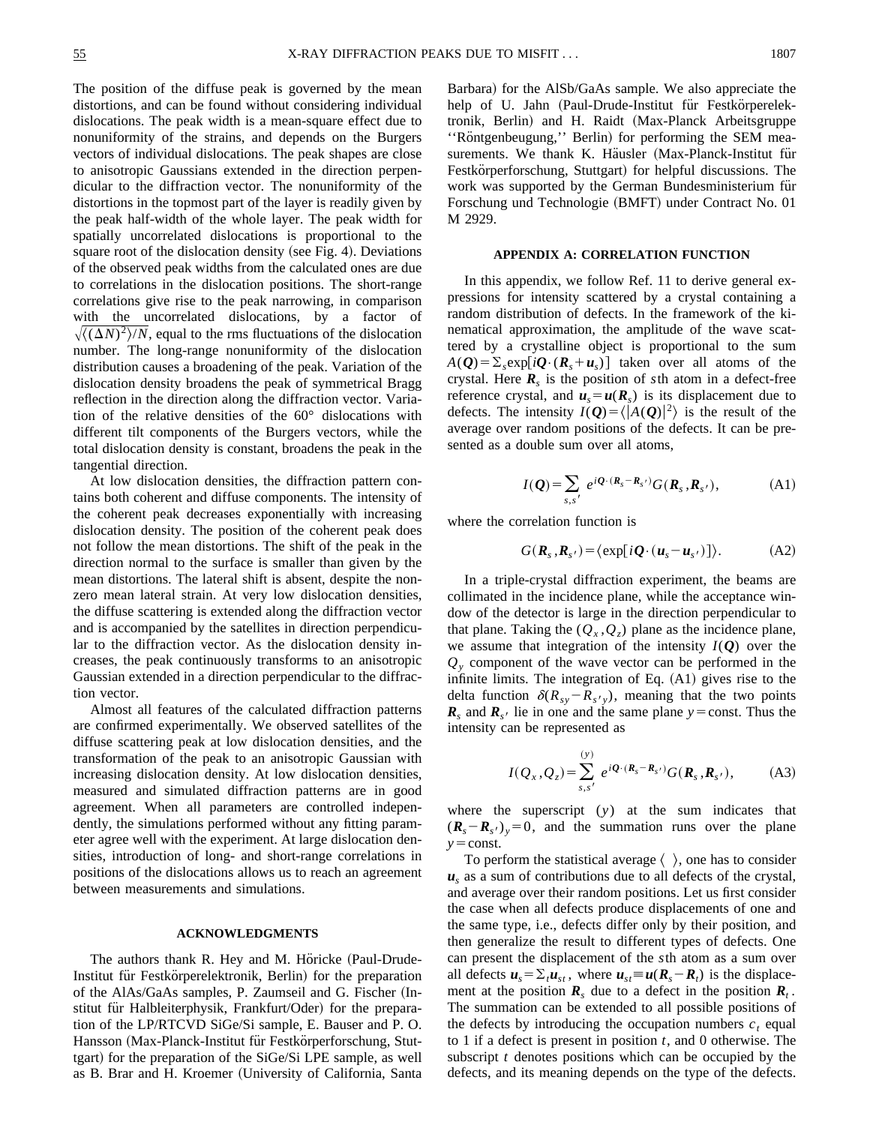The position of the diffuse peak is governed by the mean distortions, and can be found without considering individual dislocations. The peak width is a mean-square effect due to nonuniformity of the strains, and depends on the Burgers vectors of individual dislocations. The peak shapes are close to anisotropic Gaussians extended in the direction perpendicular to the diffraction vector. The nonuniformity of the distortions in the topmost part of the layer is readily given by the peak half-width of the whole layer. The peak width for spatially uncorrelated dislocations is proportional to the square root of the dislocation density (see Fig. 4). Deviations of the observed peak widths from the calculated ones are due to correlations in the dislocation positions. The short-range correlations give rise to the peak narrowing, in comparison with the uncorrelated dislocations, by a factor of  $\sqrt{\langle (\Delta N)^2 \rangle/N}$ , equal to the rms fluctuations of the dislocation number. The long-range nonuniformity of the dislocation distribution causes a broadening of the peak. Variation of the dislocation density broadens the peak of symmetrical Bragg reflection in the direction along the diffraction vector. Variation of the relative densities of the 60° dislocations with different tilt components of the Burgers vectors, while the total dislocation density is constant, broadens the peak in the tangential direction.

At low dislocation densities, the diffraction pattern contains both coherent and diffuse components. The intensity of the coherent peak decreases exponentially with increasing dislocation density. The position of the coherent peak does not follow the mean distortions. The shift of the peak in the direction normal to the surface is smaller than given by the mean distortions. The lateral shift is absent, despite the nonzero mean lateral strain. At very low dislocation densities, the diffuse scattering is extended along the diffraction vector and is accompanied by the satellites in direction perpendicular to the diffraction vector. As the dislocation density increases, the peak continuously transforms to an anisotropic Gaussian extended in a direction perpendicular to the diffraction vector.

Almost all features of the calculated diffraction patterns are confirmed experimentally. We observed satellites of the diffuse scattering peak at low dislocation densities, and the transformation of the peak to an anisotropic Gaussian with increasing dislocation density. At low dislocation densities, measured and simulated diffraction patterns are in good agreement. When all parameters are controlled independently, the simulations performed without any fitting parameter agree well with the experiment. At large dislocation densities, introduction of long- and short-range correlations in positions of the dislocations allows us to reach an agreement between measurements and simulations.

## **ACKNOWLEDGMENTS**

The authors thank R. Hey and M. Höricke (Paul-Drude-Institut für Festkörperelektronik, Berlin) for the preparation of the AlAs/GaAs samples, P. Zaumseil and G. Fischer (Institut für Halbleiterphysik, Frankfurt/Oder) for the preparation of the LP/RTCVD SiGe/Si sample, E. Bauser and P. O. Hansson (Max-Planck-Institut für Festkörperforschung, Stuttgart) for the preparation of the SiGe/Si LPE sample, as well as B. Brar and H. Kroemer (University of California, Santa Barbara) for the AlSb/GaAs sample. We also appreciate the help of U. Jahn (Paul-Drude-Institut für Festkörperelektronik, Berlin) and H. Raidt (Max-Planck Arbeitsgruppe "Röntgenbeugung," Berlin) for performing the SEM measurements. We thank K. Häusler (Max-Planck-Institut für Festkörperforschung, Stuttgart) for helpful discussions. The work was supported by the German Bundesministerium fur-Forschung und Technologie (BMFT) under Contract No. 01 M 2929.

### **APPENDIX A: CORRELATION FUNCTION**

In this appendix, we follow Ref. 11 to derive general expressions for intensity scattered by a crystal containing a random distribution of defects. In the framework of the kinematical approximation, the amplitude of the wave scattered by a crystalline object is proportional to the sum  $A(Q) = \sum_{s} exp[iQ \cdot (R_s + u_s)]$  taken over all atoms of the crystal. Here  $\mathbf{R}_s$  is the position of *s*th atom in a defect-free reference crystal, and  $u_s = u(R_s)$  is its displacement due to defects. The intensity  $I(Q) = \langle |A(Q)|^2 \rangle$  is the result of the average over random positions of the defects. It can be presented as a double sum over all atoms,

$$
I(\mathbf{Q}) = \sum_{s,s'} e^{i\mathbf{Q} \cdot (\mathbf{R}_s - \mathbf{R}_{s'})} G(\mathbf{R}_s, \mathbf{R}_{s'}),
$$
 (A1)

where the correlation function is

$$
G(\boldsymbol{R}_s, \boldsymbol{R}_{s'}) = \langle \exp[i \boldsymbol{Q} \cdot (\boldsymbol{u}_s - \boldsymbol{u}_{s'})] \rangle.
$$
 (A2)

In a triple-crystal diffraction experiment, the beams are collimated in the incidence plane, while the acceptance window of the detector is large in the direction perpendicular to that plane. Taking the  $(Q_x, Q_z)$  plane as the incidence plane, we assume that integration of the intensity  $I(Q)$  over the *Qy* component of the wave vector can be performed in the infinite limits. The integration of Eq.  $(A1)$  gives rise to the delta function  $\delta(R_{sy}-R_{s'y})$ , meaning that the two points  $\mathbf{R}_s$  and  $\mathbf{R}_{s'}$  lie in one and the same plane  $y = \text{const.}$  Thus the intensity can be represented as

$$
I(Q_x, Q_z) = \sum_{s,s'}^{(y)} e^{iQ \cdot (\boldsymbol{R}_s - \boldsymbol{R}_{s'})} G(\boldsymbol{R}_s, \boldsymbol{R}_{s'}),
$$
 (A3)

where the superscript (*y*) at the sum indicates that  $(R_s - R_{s})$ ,  $y = 0$ , and the summation runs over the plane  $y$  = const.

To perform the statistical average  $\langle \rangle$ , one has to consider *u<sup>s</sup>* as a sum of contributions due to all defects of the crystal, and average over their random positions. Let us first consider the case when all defects produce displacements of one and the same type, i.e., defects differ only by their position, and then generalize the result to different types of defects. One can present the displacement of the *s*th atom as a sum over all defects  $u_s = \sum_t u_{st}$ , where  $u_{st} \equiv u(R_s - R_t)$  is the displacement at the position  $\mathbf{R}_s$  due to a defect in the position  $\mathbf{R}_t$ . The summation can be extended to all possible positions of the defects by introducing the occupation numbers  $c<sub>t</sub>$  equal to 1 if a defect is present in position *t*, and 0 otherwise. The subscript *t* denotes positions which can be occupied by the defects, and its meaning depends on the type of the defects.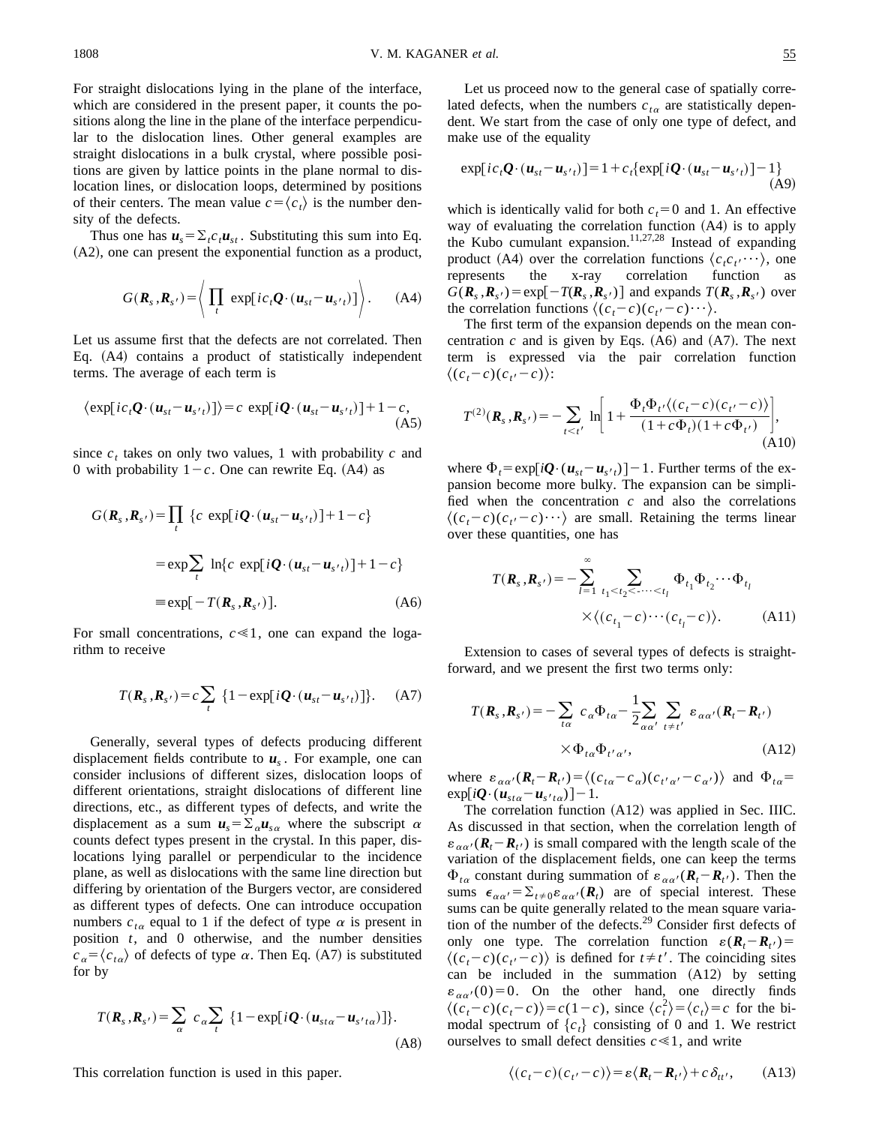Thus one has  $u_s = \sum_t c_t u_{st}$ . Substituting this sum into Eq.  $(A2)$ , one can present the exponential function as a product,

$$
G(\boldsymbol{R}_s, \boldsymbol{R}_{s'}) = \left\langle \prod_t \exp[ic_t \boldsymbol{Q} \cdot (\boldsymbol{u}_{st} - \boldsymbol{u}_{s't})] \right\rangle. \tag{A4}
$$

Let us assume first that the defects are not correlated. Then Eq.  $(A4)$  contains a product of statistically independent terms. The average of each term is

$$
\langle \exp[ic_{t}Q \cdot (\boldsymbol{u}_{st} - \boldsymbol{u}_{s't})] \rangle = c \exp[iQ \cdot (\boldsymbol{u}_{st} - \boldsymbol{u}_{s't})] + 1 - c,
$$
\n(A5)

since  $c_t$  takes on only two values, 1 with probability  $c$  and 0 with probability  $1-c$ . One can rewrite Eq. (A4) as

$$
G(\mathbf{R}_s, \mathbf{R}_{s'}) = \prod_t \{c \exp[i\mathbf{Q} \cdot (\mathbf{u}_{st} - \mathbf{u}_{s't})] + 1 - c\}
$$
  

$$
= \exp \sum_t \ln\{c \exp[i\mathbf{Q} \cdot (\mathbf{u}_{st} - \mathbf{u}_{s't})] + 1 - c\}
$$
  

$$
\equiv \exp[-T(\mathbf{R}_s, \mathbf{R}_{s'})].
$$
 (A6)

For small concentrations,  $c \ll 1$ , one can expand the logarithm to receive

$$
T(\boldsymbol{R}_s, \boldsymbol{R}_{s'}) = c \sum_t \{1 - \exp[i\boldsymbol{Q} \cdot (\boldsymbol{u}_{st} - \boldsymbol{u}_{s't})]\}.
$$
 (A7)

Generally, several types of defects producing different displacement fields contribute to  $u<sub>s</sub>$ . For example, one can consider inclusions of different sizes, dislocation loops of different orientations, straight dislocations of different line directions, etc., as different types of defects, and write the displacement as a sum  $u_s = \sum_{\alpha} u_{s\alpha}$  where the subscript  $\alpha$ counts defect types present in the crystal. In this paper, dislocations lying parallel or perpendicular to the incidence plane, as well as dislocations with the same line direction but differing by orientation of the Burgers vector, are considered as different types of defects. One can introduce occupation numbers  $c_{t\alpha}$  equal to 1 if the defect of type  $\alpha$  is present in position *t*, and 0 otherwise, and the number densities  $c_a = \langle c_{ta} \rangle$  of defects of type  $\alpha$ . Then Eq. (A7) is substituted for by

$$
T(\boldsymbol{R}_s, \boldsymbol{R}_{s'}) = \sum_{\alpha} c_{\alpha} \sum_{t} \{1 - \exp[i \boldsymbol{Q} \cdot (\boldsymbol{u}_{sta} - \boldsymbol{u}_{s't\alpha})]\}.
$$
\n(A8)

This correlation function is used in this paper.

Let us proceed now to the general case of spatially correlated defects, when the numbers  $c_{t\alpha}$  are statistically dependent. We start from the case of only one type of defect, and make use of the equality

$$
\exp[ic_t \mathbf{Q} \cdot (\mathbf{u}_{st} - \mathbf{u}_{s't})] = 1 + c_t \{ \exp[i \mathbf{Q} \cdot (\mathbf{u}_{st} - \mathbf{u}_{s't})] - 1 \}
$$
\n(A9)

which is identically valid for both  $c<sub>t</sub>=0$  and 1. An effective way of evaluating the correlation function  $(A4)$  is to apply the Kubo cumulant expansion.<sup>11,27,28</sup> Instead of expanding product (A4) over the correlation functions  $\langle c_t c_{t'} \cdots \rangle$ , one represents the x-ray correlation function as  $G(\mathbf{R}_s, \mathbf{R}_{s}) = \exp[-T(\mathbf{R}_s, \mathbf{R}_{s})]$  and expands  $T(\mathbf{R}_s, \mathbf{R}_{s})$  over the correlation functions  $\langle (c_t-c)(c_{t'}-c)\cdots \rangle$ .

The first term of the expansion depends on the mean concentration  $c$  and is given by Eqs.  $(A6)$  and  $(A7)$ . The next term is expressed via the pair correlation function  $\langle (c_t-c)(c_{t'}-c)\rangle$ :

$$
T^{(2)}(\mathbf{R}_s, \mathbf{R}_{s'}) = -\sum_{t < t'} \ln \left[ 1 + \frac{\Phi_t \Phi_{t'} \langle (c_t - c)(c_{t'} - c) \rangle}{(1 + c \Phi_t)(1 + c \Phi_{t'})} \right],\tag{A10}
$$

where  $\Phi_t = \exp[iQ \cdot (\mathbf{u}_{st} - \mathbf{u}_{s't})] - 1$ . Further terms of the expansion become more bulky. The expansion can be simplified when the concentration *c* and also the correlations  $\langle (c_t-c)(c_{t'}-c)\cdots \rangle$  are small. Retaining the terms linear over these quantities, one has

$$
T(\mathbf{R}_s, \mathbf{R}_{s'}) = -\sum_{l=1}^{\infty} \sum_{t_1 < t_2 < \dots < t_l} \Phi_{t_1} \Phi_{t_2} \cdots \Phi_{t_l}
$$
  
 
$$
\times \langle (c_{t_1} - c) \cdots (c_{t_l} - c) \rangle.
$$
 (A11)

Extension to cases of several types of defects is straightforward, and we present the first two terms only:

$$
T(\mathbf{R}_s, \mathbf{R}_{s'}) = -\sum_{t\alpha} c_{\alpha} \Phi_{t\alpha} - \frac{1}{2} \sum_{\alpha\alpha'} \sum_{t \neq t'} \varepsilon_{\alpha\alpha'} (\mathbf{R}_t - \mathbf{R}_{t'})
$$
  
 
$$
\times \Phi_{t\alpha} \Phi_{t'\alpha'}, \qquad (A12)
$$

where  $\varepsilon_{\alpha\alpha'}(\mathbf{R}_t - \mathbf{R}_{t'}) = \langle (c_{t\alpha} - c_{\alpha})(c_{t'\alpha'} - c_{\alpha'}) \rangle$  and  $\Phi_{t\alpha} =$  $\exp[iQ \cdot (u_{sta} - u_{s'ta})] - 1.$ 

The correlation function  $(A12)$  was applied in Sec. IIIC. As discussed in that section, when the correlation length of  $\varepsilon_{\alpha\alpha'}(\mathbf{R}_t - \mathbf{R}_{t'})$  is small compared with the length scale of the variation of the displacement fields, one can keep the terms  $\Phi_{t\alpha}$  constant during summation of  $\varepsilon_{\alpha\alpha'}(\mathbf{R}_t - \mathbf{R}_t)$ . Then the sums  $\epsilon_{\alpha\alpha'} = \sum_{t \neq 0} \epsilon_{\alpha\alpha'}(R_t)$  are of special interest. These sums can be quite generally related to the mean square variation of the number of the defects.<sup>29</sup> Consider first defects of only one type. The correlation function  $\varepsilon (R_t - R_t) =$  $\langle (c_t-c)(c_{t'}-c) \rangle$  is defined for  $t \neq t'$ . The coinciding sites can be included in the summation  $(A12)$  by setting  $\varepsilon_{\alpha\alpha'}(0)=0$ . On the other hand, one directly finds  $\langle (c_t-c)(c_t-c) \rangle = c(1-c)$ , since  $\langle c_t^2 \rangle = \langle c_t \rangle = c$  for the bimodal spectrum of  ${c<sub>t</sub>}$  consisting of 0 and 1. We restrict ourselves to small defect densities  $c \ll 1$ , and write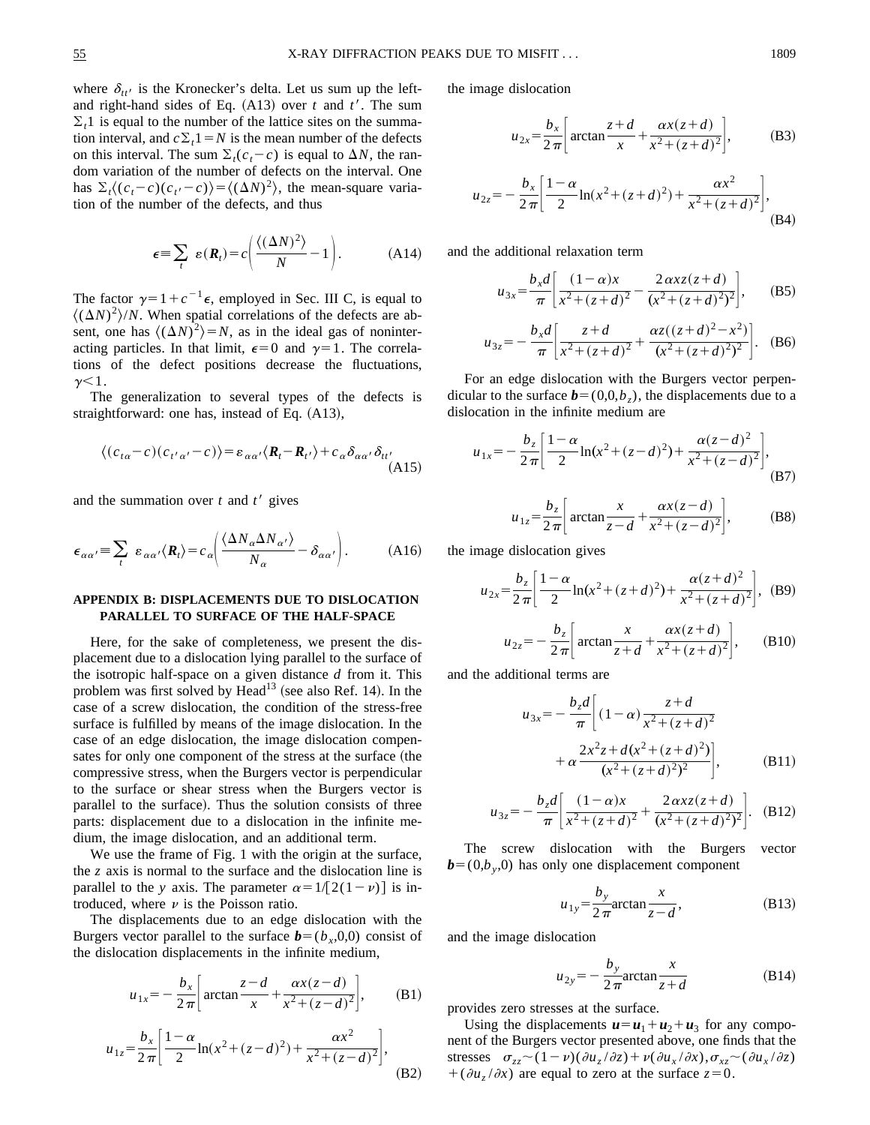where  $\delta_{tt}$  is the Kronecker's delta. Let us sum up the leftand right-hand sides of Eq.  $(A13)$  over *t* and *t'*. The sum  $\Sigma<sub>t</sub>1$  is equal to the number of the lattice sites on the summation interval, and  $c\Sigma<sub>t</sub>1=N$  is the mean number of the defects on this interval. The sum  $\Sigma_t(c_t-c)$  is equal to  $\Delta N$ , the random variation of the number of defects on the interval. One has  $\Sigma_t$ ( $(c_t-c)(c_t-c)$ )= $\langle (\Delta N)^2 \rangle$ , the mean-square variation of the number of the defects, and thus

$$
\epsilon \equiv \sum_{t} \epsilon(\boldsymbol{R}_{t}) = c \left( \frac{\langle (\Delta N)^{2} \rangle}{N} - 1 \right). \tag{A14}
$$

The factor  $\gamma=1+c^{-1}\epsilon$ , employed in Sec. III C, is equal to  $\langle (\Delta N)^2 \rangle/N$ . When spatial correlations of the defects are absent, one has  $\langle (\Delta N)^2 \rangle = N$ , as in the ideal gas of noninteracting particles. In that limit,  $\epsilon=0$  and  $\gamma=1$ . The correlations of the defect positions decrease the fluctuations,  $\gamma$   $\leq$  1.

The generalization to several types of the defects is straightforward: one has, instead of Eq.  $(A13)$ ,

$$
\langle (c_{t\alpha} - c)(c_{t'\alpha'} - c) \rangle = \varepsilon_{\alpha\alpha'} \langle \mathbf{R}_t - \mathbf{R}_{t'} \rangle + c_{\alpha} \delta_{\alpha\alpha'} \delta_{tt'} \tag{A15}
$$

and the summation over  $t$  and  $t'$  gives

$$
\epsilon_{\alpha\alpha'} \equiv \sum_{t} \epsilon_{\alpha\alpha'} \langle \boldsymbol{R}_{t} \rangle = c_{\alpha} \bigg( \frac{\langle \Delta N_{\alpha} \Delta N_{\alpha'} \rangle}{N_{\alpha}} - \delta_{\alpha\alpha'} \bigg). \tag{A16}
$$

# **APPENDIX B: DISPLACEMENTS DUE TO DISLOCATION PARALLEL TO SURFACE OF THE HALF-SPACE**

Here, for the sake of completeness, we present the displacement due to a dislocation lying parallel to the surface of the isotropic half-space on a given distance *d* from it. This problem was first solved by Head<sup>13</sup> (see also Ref. 14). In the case of a screw dislocation, the condition of the stress-free surface is fulfilled by means of the image dislocation. In the case of an edge dislocation, the image dislocation compensates for only one component of the stress at the surface (the compressive stress, when the Burgers vector is perpendicular to the surface or shear stress when the Burgers vector is parallel to the surface). Thus the solution consists of three parts: displacement due to a dislocation in the infinite medium, the image dislocation, and an additional term.

We use the frame of Fig. 1 with the origin at the surface, the *z* axis is normal to the surface and the dislocation line is parallel to the *y* axis. The parameter  $\alpha = 1/[2(1-\nu)]$  is introduced, where  $\nu$  is the Poisson ratio.

The displacements due to an edge dislocation with the Burgers vector parallel to the surface  $\mathbf{b}=(b_{r,0,0})$  consist of the dislocation displacements in the infinite medium,

$$
u_{1x} = -\frac{b_x}{2\pi} \left[ \arctan \frac{z - d}{x} + \frac{\alpha x (z - d)}{x^2 + (z - d)^2} \right],
$$
 (B1)

$$
u_{1z} = \frac{b_x}{2\pi} \left[ \frac{1-\alpha}{2} \ln(x^2 + (z-d)^2) + \frac{\alpha x^2}{x^2 + (z-d)^2} \right],
$$
 (B2)

the image dislocation

$$
u_{2x} = \frac{b_x}{2\pi} \left[ \arctan \frac{z+d}{x} + \frac{\alpha x (z+d)}{x^2 + (z+d)^2} \right],
$$
 (B3)

$$
u_{2z} = -\frac{b_x}{2\pi} \left[ \frac{1-\alpha}{2} \ln(x^2 + (z+d)^2) + \frac{\alpha x^2}{x^2 + (z+d)^2} \right],
$$
(B4)

and the additional relaxation term

$$
u_{3x} = \frac{b_x d}{\pi} \left[ \frac{(1 - \alpha)x}{x^2 + (z + d)^2} - \frac{2 \alpha x z (z + d)}{(x^2 + (z + d)^2)^2} \right],
$$
 (B5)

$$
u_{3z} = -\frac{b_x d}{\pi} \left[ \frac{z+d}{x^2 + (z+d)^2} + \frac{\alpha z ((z+d)^2 - x^2)}{(x^2 + (z+d)^2)^2} \right].
$$
 (B6)

For an edge dislocation with the Burgers vector perpendicular to the surface  $\mathbf{b}=(0,0,b_z)$ , the displacements due to a dislocation in the infinite medium are

$$
u_{1x} = -\frac{b_z}{2\pi} \left[ \frac{1-\alpha}{2} \ln(x^2 + (z-d)^2) + \frac{\alpha(z-d)^2}{x^2 + (z-d)^2} \right],
$$
(B7)

$$
u_{1z} = \frac{b_z}{2\pi} \left[ \arctan \frac{x}{z - d} + \frac{\alpha x (z - d)}{x^2 + (z - d)^2} \right],
$$
 (B8)

the image dislocation gives

$$
u_{2x} = \frac{b_z}{2\pi} \left[ \frac{1-\alpha}{2} \ln(x^2 + (z+d)^2) + \frac{\alpha(z+d)^2}{x^2 + (z+d)^2} \right], \text{ (B9)}
$$

$$
u_{2z} = -\frac{b_z}{2\pi} \left[ \arctan\frac{x}{z+d} + \frac{\alpha x(z+d)}{x^2 + (z+d)^2} \right], \text{ (B10)}
$$

and the additional terms are

$$
u_{3x} = -\frac{b_z d}{\pi} \left[ (1 - \alpha) \frac{z + d}{x^2 + (z + d)^2} + \alpha \frac{2x^2 z + d(x^2 + (z + d)^2)}{(x^2 + (z + d)^2)^2} \right],
$$
 (B11)

$$
u_{3z} = -\frac{b_z d}{\pi} \left[ \frac{(1-\alpha)x}{x^2 + (z+d)^2} + \frac{2\alpha x z (z+d)}{(x^2 + (z+d)^2)^2} \right].
$$
 (B12)

The screw dislocation with the Burgers vector  **has only one displacement component** 

$$
u_{1y} = \frac{b_y}{2\pi} \arctan\frac{x}{z - d},
$$
 (B13)

and the image dislocation

$$
u_{2y} = -\frac{b_y}{2\pi} \arctan\frac{x}{z+d}
$$
 (B14)

provides zero stresses at the surface.

Using the displacements  $u = u_1 + u_2 + u_3$  for any component of the Burgers vector presented above, one finds that the stresses  $\sigma_{zz} \sim (1-\nu)(\partial u_z/\partial z) + \nu(\partial u_x/\partial x)$ ,  $\sigma_{xz} \sim (\partial u_x/\partial z)$  $+(du_z/\partial x)$  are equal to zero at the surface  $z=0$ .